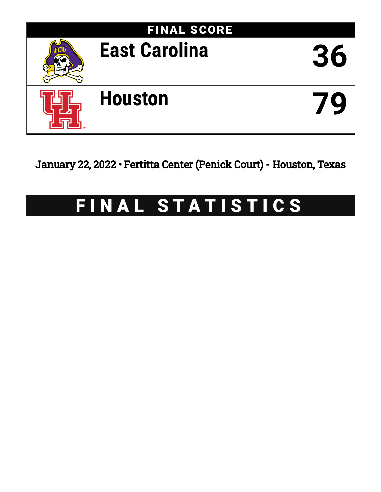

January 22, 2022 • Fertitta Center (Penick Court) - Houston, Texas

# FINAL STATISTICS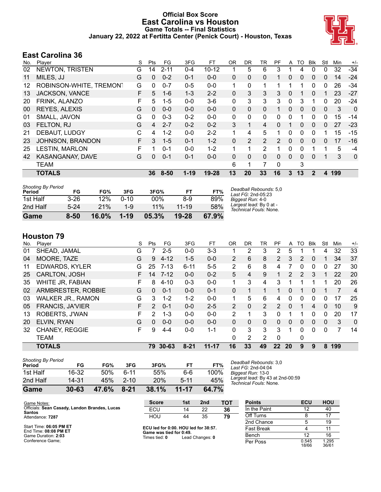#### **Official Box Score East Carolina vs Houston Game Totals -- Final Statistics January 22, 2022 at Fertitta Center (Penick Court) - Houston, Texas**



#### **East Carolina 36**

| No. | Player                  | S  | Pts          | FG       | 3FG      | FT.       | <b>OR</b> | <b>DR</b>      | TR             | <b>PF</b> | A | TO           | Blk            | Stl         | Min | $+/-$        |
|-----|-------------------------|----|--------------|----------|----------|-----------|-----------|----------------|----------------|-----------|---|--------------|----------------|-------------|-----|--------------|
| 02  | NEWTON, TRISTEN         | G  | 14           | $2 - 11$ | $0 - 4$  | $10 - 12$ |           | 5              | 6              | 3         |   | 4            | 0              | 0           | 32  | $-34$        |
| 11  | MILES, JJ               | G  | $\mathbf{0}$ | $0 - 2$  | $0 - 1$  | $0 - 0$   | 0         | $\Omega$       | 0              |           | 0 | 0            | $\mathbf{0}$   | 0           | 14  | $-24$        |
| 12  | ROBINSON-WHITE, TREMONT | G  | 0            | $0 - 7$  | $0 - 5$  | $0 - 0$   | 1         | 0              |                |           | 1 |              | 0              | 0           | 26  | -34          |
| 13  | JACKSON, VANCE          | F  | 5            | $1 - 6$  | $1 - 3$  | $2 - 2$   | 0         | 3              | 3              | 3         | 0 |              | 0              |             | 23  | -27          |
| 20  | FRINK, ALANZO           | F  | 5            | $1 - 5$  | $0 - 0$  | $3-6$     | 0         | 3              | 3              | 3         | 0 | 3            | 1              | 0           | 20  | $-24$        |
| 00  | REYES, ALEXIS           | G  | $\mathbf{0}$ | $0 - 0$  | $0 - 0$  | $0 - 0$   | 0         | 0              | $\mathbf{0}$   |           | 0 | 0            | $\mathbf{0}$   | $\mathbf 0$ | 3   | $\mathbf{0}$ |
| 01  | SMALL, JAVON            | G  | 0            | $0 - 3$  | $0 - 2$  | $0 - 0$   | 0         | 0              | 0              | 0         | 0 |              | 0              | 0           | 15  | $-14$        |
| 03  | FELTON, RJ              | G  | 4            | $2 - 7$  | $0 - 2$  | $0 - 2$   | 3         | 1              | 4              | 0         |   | 0            | $\Omega$       | 0           | 27  | $-23$        |
| 21  | DEBAUT, LUDGY           | С  | 4            | $1 - 2$  | $0 - 0$  | $2 - 2$   | 1         | 4              | 5              | 1         | 0 | 0            | $\Omega$       | 1           | 15  | $-15$        |
| 23  | JOHNSON, BRANDON        | F. | 3            | $1 - 5$  | $0 - 1$  | $1 - 2$   | 0         | $\overline{2}$ | $\overline{2}$ | 2         | 0 | 0            | $\Omega$       | 0           | 17  | $-16$        |
| 25  | <b>LESTIN, MARLON</b>   | F  | 1            | $0 - 1$  | $0 - 0$  | $1 - 2$   | 1         | 1              | $\overline{2}$ | 1         | 0 | 0            |                | 1           | 5   | -4           |
| 42  | KASANGANAY, DAVE        | G  | $\mathbf{0}$ | $0 - 1$  | $0 - 1$  | $0 - 0$   | 0         | $\Omega$       | $\mathbf{0}$   | 0         | 0 | $\mathbf{0}$ | $\Omega$       |             | 3   | $\mathbf 0$  |
|     | <b>TEAM</b>             |    |              |          |          |           | 6         | 1              |                | $\Omega$  |   | 3            |                |             |     |              |
|     | <b>TOTALS</b>           |    | 36           | $8 - 50$ | $1 - 19$ | $19 - 28$ | 13        | 20             | 33             | 16        | 3 | 13           | $\overline{2}$ | 4           | 199 |              |

| Game                                | 8-50     | $16.0\%$ | $1 - 19$ | 05.3% | 19-28     | 67.9% |                                                   |
|-------------------------------------|----------|----------|----------|-------|-----------|-------|---------------------------------------------------|
| 2nd Half                            | $5-24$   | 21%      | $1 - 9$  | 11%   | $11 - 19$ | 58%   | Largest lead: By 0 at -<br>Technical Fouls: None. |
| 1st Half                            | $3 - 26$ | 12%      | $0 - 10$ | 00%   | 8-9       | 89%   | Biggest Run: 4-0                                  |
| <b>Shooting By Period</b><br>Period | FG       | FG%      | 3FG      | 3FG%  | FТ        | FT%   | Deadball Rebounds: 5,0<br>Last FG: 2nd-05:23      |

#### **Houston 79**

|     | 1 IVWVLVII <i>I</i> V    |    |               |           |          |           |                |          |                |               |              |               |             |          |     |                |
|-----|--------------------------|----|---------------|-----------|----------|-----------|----------------|----------|----------------|---------------|--------------|---------------|-------------|----------|-----|----------------|
| No. | Plaver                   | S  | Pts           | FG.       | 3FG      | FT        | 0R             | DR.      | TR             | PF            | A            | TO            | <b>B</b> lk | Stl      | Min | $+/-$          |
| 01  | SHEAD, JAMAL             | G  | 7             | $2 - 5$   | $0 - 0$  | $3 - 3$   |                | 2        | 3              | 2             | 5            |               |             | 4        | 32  | 33             |
| 04  | MOORE, TAZE              | G  | 9             | $4 - 12$  | $1-5$    | $0 - 0$   | $\overline{2}$ | 6        | 8              | 2             | 3            | 2             | 0           |          | 34  | 37             |
| 11  | <b>EDWARDS, KYLER</b>    | G  | 25            | $7 - 13$  | $6 - 11$ | $5 - 5$   | 2              | 6        | 8              | 4             |              | 0             | 0           | 0        | 27  | 30             |
| 25  | <b>CARLTON, JOSH</b>     | F. | 14            | $7 - 12$  | $0 - 0$  | $0 - 2$   | 5              | 4        | 9              |               | 2            | $\mathcal{P}$ | 3           |          | 22  | 20             |
| 35  | WHITE JR, FABIAN         | F  | 8             | $4 - 10$  | $0 - 3$  | $0 - 0$   | 1              | 3        | 4              | 3             |              |               |             |          | 20  | 26             |
| 02  | ARMBRESTER, ROBBIE       | G  | 0             | $0 - 1$   | $0 - 0$  | $0 - 1$   | 0              |          |                |               | 0            |               | 0           |          |     | $\overline{4}$ |
| 03  | <b>WALKER JR., RAMON</b> | G  | 3             | $1 - 2$   | $1 - 2$  | $0 - 0$   | 1              | 5        | 6              | 4             | $\Omega$     | 0             | $\Omega$    | 0        | 17  | 25             |
| 05  | <b>FRANCIS, JA'VIER</b>  | F. | $\mathcal{P}$ | $0 - 1$   | $0 - 0$  | $2 - 5$   | $\overline{2}$ | 0        | $\overline{2}$ | $\mathcal{P}$ | $\mathbf{0}$ |               | 4           | $\Omega$ | 10  | 9              |
| 13  | ROBERTS, J'WAN           | F  | 2             | $1 - 3$   | $0 - 0$  | $0 - 0$   | 2              |          | 3              | 0             | 1            |               | $\Omega$    | $\Omega$ | 20  | 17             |
| 20  | ELVIN, RYAN              | G  | $\Omega$      | $0 - 0$   | $0 - 0$  | $0 - 0$   | 0              | $\Omega$ | $\Omega$       | $\Omega$      | 0            | 0             | $\Omega$    | $\Omega$ | 3   | $\Omega$       |
| 32  | <b>CHANEY, REGGIE</b>    | F. | 9             | $4 - 4$   | $0 - 0$  | $1 - 1$   | 0              | 3        | 3              | 3             | 1            | 0             | $\Omega$    | 0        | 7   | 14             |
|     | <b>TEAM</b>              |    |               |           |          |           | 0              | 2        | 2              | $\Omega$      |              | 0             |             |          |     |                |
|     | <b>TOTALS</b>            |    | 79            | $30 - 63$ | $8 - 21$ | $11 - 17$ | 16             | 33       | 49             | 22            | 20           | 9             | 9           | 8        | 199 |                |

| Game                                | $30 - 63$ | 47.6% | $8 - 21$ | 38.1% | $11 - 17$ | 64.7% |   |
|-------------------------------------|-----------|-------|----------|-------|-----------|-------|---|
| 2nd Half                            | 14-31     | 45%   | $2 - 10$ | 20%   | $5 - 11$  | 45%   |   |
| 1st Half                            | 16-32     | 50%   | հ-11     | 55%   | 6-6       | 100%  | B |
| <b>Shooting By Period</b><br>Period | FG        | FG%   | 3FG      | 3FG%  | FT        | FT%   |   |

*Deadball Rebounds:* 3,0 *Last FG:* 2nd-04:04 *Biggest Run:* 13-0 *Largest lead:* By 43 at 2nd-00:59 *Technical Fouls:* None.

| Game Notes:                                                                          | <b>Score</b>                         | 1st | 2 <sub>nd</sub> | тот | <b>Points</b> | ECU | HOU |
|--------------------------------------------------------------------------------------|--------------------------------------|-----|-----------------|-----|---------------|-----|-----|
| Officials: Sean Casady, Landon Brandes, Lucas<br><b>Santos</b>                       | ECU                                  |     | 22              | 36  | In the Paint  |     | 40  |
| Attendance: 7287                                                                     | HOU                                  | 44  | 35              | 79  | Off Turns     |     |     |
|                                                                                      |                                      |     |                 |     | 2nd Chance    |     | 19  |
| Start Time: 06:05 PM ET<br>$F = F \cdot F \cdot F \cdot F$ and an extent $F \cdot F$ | ECU led for 0:00. HOU led for 38:57. |     |                 |     | Fast Break    |     |     |

End Time: **08:08 PM ET** Game Duration: **2:03** Conference Game;

**Game was tied for 0:49.**<br>Times tied: 0 Lead Times tied: **0** Lead Changes: **0**

| <b>Points</b>     | ECU            | <b>HOU</b>     |
|-------------------|----------------|----------------|
| In the Paint      | 12             | 40             |
| Off Turns         | 8              | 17             |
| 2nd Chance        | 5              | 19             |
| <b>Fast Break</b> |                | 11             |
| Bench             | 12             | 16             |
| Per Poss          | 0.545<br>18/66 | 1.295<br>36/61 |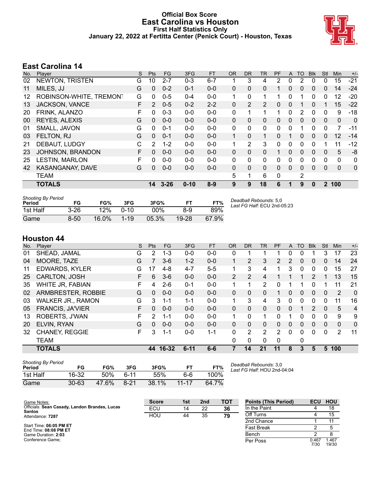#### **Official Box Score East Carolina vs Houston First Half Statistics Only January 22, 2022 at Fertitta Center (Penick Court) - Houston, Texas**



#### **East Carolina 14**

| No. | Player                  | S | <b>Pts</b>     | FG.      | 3FG      | <b>FT</b> | <b>OR</b>    | <b>DR</b>    | <b>TR</b>    | PF       | A | TO             | <b>BIK</b> | Stl          | <b>Min</b> | $+/-$ |
|-----|-------------------------|---|----------------|----------|----------|-----------|--------------|--------------|--------------|----------|---|----------------|------------|--------------|------------|-------|
| 02  | NEWTON, TRISTEN         | G | 10             | $2 - 7$  | $0 - 3$  | $6 - 7$   |              | 3            | 4            | 2        | 0 | 2              | $\Omega$   | 0            | 15         | $-21$ |
| 11  | MILES, JJ               | G | 0              | $0 - 2$  | $0 - 1$  | $0 - 0$   | 0            | 0            | $\Omega$     |          | 0 | 0              | 0          | 0            | 14         | $-24$ |
| 12  | ROBINSON-WHITE, TREMONT | G | 0              | $0 - 5$  | $0 - 4$  | $0 - 0$   | 1            | 0            | 1            |          | 0 |                | 0          | 0            | 12         | -20   |
| 13  | <b>JACKSON, VANCE</b>   | F | $\overline{2}$ | $0 - 5$  | $0 - 2$  | $2 - 2$   | 0            | 2            | 2            | 0        | 0 |                | 0          | 1            | 15         | $-22$ |
| 20  | <b>FRINK, ALANZO</b>    | F | 0              | $0 - 3$  | $0 - 0$  | $0-0$     | 0            | 1            | 1            | 1        | 0 | 2              | $\Omega$   | 0            | 9          | $-18$ |
| 00  | REYES, ALEXIS           | G | $\Omega$       | $0 - 0$  | $0 - 0$  | $0 - 0$   | 0            | $\mathbf{0}$ | $\Omega$     | 0        | 0 | 0              | $\Omega$   | 0            | 0          | 0     |
| 01  | SMALL, JAVON            | G | 0              | $0 - 1$  | $0 - 0$  | $0-0$     | 0            | 0            | 0            | 0        | 0 | 1              | 0          | 0            | 7          | $-11$ |
| 03  | FELTON, RJ              | G | $\Omega$       | $0 - 1$  | $0 - 0$  | $0 - 0$   | $\mathbf{1}$ | $\Omega$     | 1            | $\Omega$ |   | $\Omega$       | 0          | $\mathbf{0}$ | 12         | $-14$ |
| 21  | DEBAUT, LUDGY           | С | 2              | $1 - 2$  | $0 - 0$  | $0 - 0$   | 1            | 2            | 3            | 0        | 0 | 0              | 0          | 1            | 11         | $-12$ |
| 23  | JOHNSON, BRANDON        | F | $\Omega$       | $0 - 0$  | $0 - 0$  | $0 - 0$   | 0            | 0            | $\Omega$     |          | 0 | $\mathbf{0}$   | $\Omega$   | 0            | 5          | -8    |
| 25  | <b>LESTIN, MARLON</b>   | F | 0              | $0 - 0$  | $0 - 0$  | $0 - 0$   | 0            | $\mathbf{0}$ | $\mathbf{0}$ | $\Omega$ | 0 | $\Omega$       | 0          | 0            | 0          | 0     |
| 42  | KASANGANAY, DAVE        | G | $\Omega$       | $0 - 0$  | $0 - 0$  | $0 - 0$   | 0            | 0            | $\Omega$     | $\Omega$ | 0 | $\mathbf{0}$   | 0          | 0            | $\Omega$   | 0     |
|     | <b>TEAM</b>             |   |                |          |          |           | 5            | 1            | 6            | $\Omega$ |   | $\overline{2}$ |            |              |            |       |
|     | <b>TOTALS</b>           |   | 14             | $3 - 26$ | $0 - 10$ | $8-9$     | 9            | 9            | 18           | 6        |   | 9              | 0          | $\mathbf{2}$ | 100        |       |

| <b>Shooting By Period</b><br>Period | FG       | FG%   | 3FG      | 3FG%  |           | FT%   | Deadball Rebounds: 5,0<br>Last FG Half: ECU 2nd-0 |
|-------------------------------------|----------|-------|----------|-------|-----------|-------|---------------------------------------------------|
| 1st Half                            | $3 - 26$ | 12%   | $0 - 10$ | 00%   | 8-9       | 89%   |                                                   |
| Game                                | 8-50     | 16.0% | $1 - 19$ | 05.3% | $19 - 28$ | 67.9% |                                                   |

## *Last FG Half:* ECU 2nd-05:23

## **Houston 44**

| No. | Player                  | S  | <b>Pts</b> | <b>FG</b> | 3FG      | <b>FT</b> | <b>OR</b>      | DR       | TR           | <b>PF</b>      | A        | TO       | <b>Blk</b> | Stl      | Min      | $+/-$          |
|-----|-------------------------|----|------------|-----------|----------|-----------|----------------|----------|--------------|----------------|----------|----------|------------|----------|----------|----------------|
| 01  | SHEAD, JAMAL            | G  | 2          | $1 - 3$   | $0 - 0$  | $0 - 0$   | 0              |          |              |                | 0        | 0        |            | 3        | 17       | 23             |
| 04  | MOORE, TAZE             | G  |            | $3-6$     | $1 - 2$  | $0 - 0$   | $\mathbf 1$    | 2        | 3            | $\overline{2}$ | 2        | 0        | 0          | $\Omega$ | 14       | 24             |
| 11  | <b>EDWARDS, KYLER</b>   | G  | 17         | $4 - 8$   | $4 - 7$  | $5-5$     | 1              | 3        | 4            |                | 3        | $\Omega$ | 0          | 0        | 15       | 27             |
| 25  | <b>CARLTON, JOSH</b>    | F. | 6          | $3-6$     | $0 - 0$  | $0 - 0$   | $\overline{2}$ | 2        | 4            |                |          |          | 2          |          | 13       | 15             |
| 35  | WHITE JR, FABIAN        | F  | 4          | $2-6$     | $0 - 1$  | $0-0$     | 1              |          | 2            | 0              |          |          | 0          |          | 11       | 21             |
| 02  | ARMBRESTER, ROBBIE      | G  | $\Omega$   | $0 - 0$   | $0 - 0$  | $0 - 0$   | $\Omega$       | $\Omega$ | $\Omega$     |                | 0        | $\Omega$ | $\Omega$   | $\Omega$ | 2        | $\overline{0}$ |
| 03  | WALKER JR., RAMON       | G  | 3          | $1 - 1$   | $1 - 1$  | $0 - 0$   | 1              | 3        | 4            | 3              | 0        | $\Omega$ | 0          | 0        | 11       | 16             |
| 05  | <b>FRANCIS, JA'VIER</b> | F. | $\Omega$   | $0 - 0$   | $0 - 0$  | $0 - 0$   | 0              | 0        | $\mathbf{0}$ | 0              | 0        | 1        | 2          | $\Omega$ | 5        | $\overline{4}$ |
| 13  | ROBERTS, J'WAN          | F  | 2          | $1 - 1$   | $0 - 0$  | $0 - 0$   | 1              | 0        | 1            | 0              |          | 0        | 0          | $\Omega$ | 9        | 9              |
| 20  | ELVIN, RYAN             | G  | $\Omega$   | $0 - 0$   | $0 - 0$  | $0 - 0$   | 0              | 0        | $\Omega$     | $\Omega$       | $\Omega$ | $\Omega$ | $\Omega$   | $\Omega$ | $\Omega$ | $\mathbf{0}$   |
| 32  | <b>CHANEY, REGGIE</b>   | F  | 3          | $1 - 1$   | $0 - 0$  | $1 - 1$   | 0              | 2        | 2            | 2              | $\Omega$ | 0        | $\Omega$   | $\Omega$ | 2        | 11             |
|     | <b>TEAM</b>             |    |            |           |          |           | 0              | 0        | 0            | $\Omega$       |          | 0        |            |          |          |                |
|     | <b>TOTALS</b>           |    | 44         | $16 - 32$ | $6 - 11$ | $6-6$     |                | 14       | 21           | 11             | 8        | 3        | 5          | 5        | 100      |                |

| <b>Shooting By Period</b><br>Period | FG        | FG%   | 3FG    | 3FG%  | FТ        | FT%   |
|-------------------------------------|-----------|-------|--------|-------|-----------|-------|
| 1st Half                            | 16-32     | 50%   | հ 11   | 55%   | հ-հ       | 100%  |
| Game                                | $30 - 63$ | 47.6% | $8-21$ | 38.1% | $11 - 17$ | 64.7% |

*Deadball Rebounds:* 3,0 *Last FG Half:* HOU 2nd-04:04

| Game Notes:                                             | <b>Score</b> | 1st | 2 <sub>nd</sub> | тот | <b>Points (This Period)</b> | <b>ECU</b>    | <b>HOU</b>     |
|---------------------------------------------------------|--------------|-----|-----------------|-----|-----------------------------|---------------|----------------|
| Officials: Sean Casady, Landon Brandes, Lucas<br>Santos | ECU          | 14  | 22              | 36  | In the Paint                |               | 18             |
| Attendance: 7287                                        | HOU          | 44  | 35              | 79  | Off Turns                   |               | 15             |
|                                                         |              |     |                 |     | 2nd Chance                  |               |                |
| Start Time: 06:05 PM ET<br>End Time: 08:08 PM ET        |              |     |                 |     | <b>Fast Break</b>           |               |                |
| Game Duration: 2:03                                     |              |     |                 |     | Bench                       |               |                |
| Conference Game:                                        |              |     |                 |     | Per Poss                    | 0.467<br>7/30 | 1.467<br>19/30 |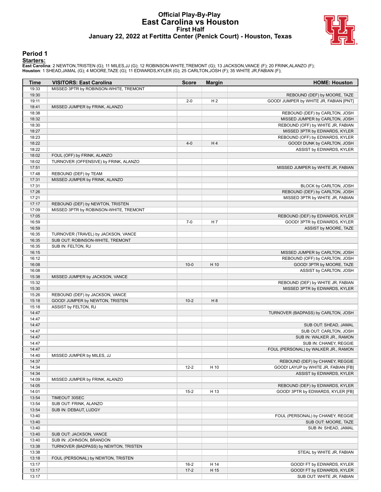#### **Official Play-By-Play East Carolina vs Houston First Half January 22, 2022 at Fertitta Center (Penick Court) - Houston, Texas**



#### **Period 1**

<mark>Starters:</mark><br>East Carolina: 2 NEWTON,TRISTEN (G); 11 MILES,JJ (G); 12 ROBINSON-WHITE,TREMONT (G); 13 JACKSON,VANCE (F); 20 FRINK,ALANZO (F);<br>Houston: 1 SHEAD,JAMAL (G); 4 MOORE,TAZE (G); 11 EDWARDS,KYLER (G); 25 CARLTON,JOS

| <b>Time</b>    | <b>VISITORS: East Carolina</b>                                          | <b>Score</b> | <b>Margin</b>  | <b>HOME: Houston</b>                   |
|----------------|-------------------------------------------------------------------------|--------------|----------------|----------------------------------------|
| 19:33          | MISSED 3PTR by ROBINSON-WHITE, TREMONT                                  |              |                |                                        |
| 19:30          |                                                                         |              |                | REBOUND (DEF) by MOORE, TAZE           |
| 19:11          |                                                                         | $2 - 0$      | H <sub>2</sub> | GOOD! JUMPER by WHITE JR, FABIAN [PNT] |
| 18:41          | MISSED JUMPER by FRINK, ALANZO                                          |              |                |                                        |
| 18:38          |                                                                         |              |                | REBOUND (DEF) by CARLTON, JOSH         |
| 18:32          |                                                                         |              |                | MISSED JUMPER by CARLTON, JOSH         |
| 18:30          |                                                                         |              |                | REBOUND (OFF) by WHITE JR, FABIAN      |
| 18:27          |                                                                         |              |                | MISSED 3PTR by EDWARDS, KYLER          |
| 18:23          |                                                                         |              |                | REBOUND (OFF) by EDWARDS, KYLER        |
| 18:22          |                                                                         | $4 - 0$      | H4             | GOOD! DUNK by CARLTON, JOSH            |
| 18:22          |                                                                         |              |                | ASSIST by EDWARDS, KYLER               |
| 18:02          | FOUL (OFF) by FRINK, ALANZO                                             |              |                |                                        |
| 18:02          | TURNOVER (OFFENSIVE) by FRINK, ALANZO                                   |              |                |                                        |
| 17:51          |                                                                         |              |                | MISSED JUMPER by WHITE JR, FABIAN      |
| 17:48          | REBOUND (DEF) by TEAM                                                   |              |                |                                        |
| 17:31          | MISSED JUMPER by FRINK, ALANZO                                          |              |                |                                        |
| 17:31          |                                                                         |              |                | BLOCK by CARLTON, JOSH                 |
| 17:26          |                                                                         |              |                | REBOUND (DEF) by CARLTON, JOSH         |
| 17:21          |                                                                         |              |                | MISSED 3PTR by WHITE JR, FABIAN        |
| 17:17          | REBOUND (DEF) by NEWTON, TRISTEN                                        |              |                |                                        |
| 17:09          | MISSED 3PTR by ROBINSON-WHITE, TREMONT                                  |              |                |                                        |
| 17:05          |                                                                         |              |                | REBOUND (DEF) by EDWARDS, KYLER        |
| 16:59          |                                                                         | $7 - 0$      | H <sub>7</sub> | GOOD! 3PTR by EDWARDS, KYLER           |
| 16:59          |                                                                         |              |                | ASSIST by MOORE, TAZE                  |
| 16:35<br>16:35 | TURNOVER (TRAVEL) by JACKSON, VANCE<br>SUB OUT: ROBINSON-WHITE, TREMONT |              |                |                                        |
| 16:35          |                                                                         |              |                |                                        |
| 16:15          | SUB IN: FELTON, RJ                                                      |              |                | MISSED JUMPER by CARLTON, JOSH         |
| 16:12          |                                                                         |              |                | REBOUND (OFF) by CARLTON, JOSH         |
| 16:08          |                                                                         | $10-0$       | H 10           | GOOD! 3PTR by MOORE, TAZE              |
| 16:08          |                                                                         |              |                | ASSIST by CARLTON, JOSH                |
| 15:38          | MISSED JUMPER by JACKSON, VANCE                                         |              |                |                                        |
| 15:32          |                                                                         |              |                | REBOUND (DEF) by WHITE JR, FABIAN      |
| 15:30          |                                                                         |              |                | MISSED 3PTR by EDWARDS, KYLER          |
| 15:26          | REBOUND (DEF) by JACKSON, VANCE                                         |              |                |                                        |
| 15:18          | GOOD! JUMPER by NEWTON, TRISTEN                                         | $10-2$       | H <sub>8</sub> |                                        |
| 15:18          | ASSIST by FELTON, RJ                                                    |              |                |                                        |
| 14:47          |                                                                         |              |                | TURNOVER (BADPASS) by CARLTON, JOSH    |
| 14:47          |                                                                         |              |                |                                        |
| 14:47          |                                                                         |              |                | SUB OUT: SHEAD, JAMAL                  |
| 14:47          |                                                                         |              |                | SUB OUT: CARLTON, JOSH                 |
| 14:47          |                                                                         |              |                | SUB IN: WALKER JR., RAMON              |
| 14:47          |                                                                         |              |                | SUB IN: CHANEY, REGGIE                 |
| 14:47          |                                                                         |              |                | FOUL (PERSONAL) by WALKER JR., RAMON   |
| 14:40          | MISSED JUMPER by MILES, JJ                                              |              |                |                                        |
| 14:37          |                                                                         |              |                | REBOUND (DEF) by CHANEY, REGGIE        |
| 14:34          |                                                                         | $12 - 2$     | H 10           | GOOD! LAYUP by WHITE JR, FABIAN [FB]   |
| 14:34          |                                                                         |              |                | ASSIST by EDWARDS, KYLER               |
| 14:09          | MISSED JUMPER by FRINK, ALANZO                                          |              |                |                                        |
| 14:05          |                                                                         |              |                | REBOUND (DEF) by EDWARDS, KYLER        |
| 14:01          |                                                                         | $15 - 2$     | H 13           | GOOD! 3PTR by EDWARDS, KYLER [FB]      |
| 13:54          | TIMEOUT 30SEC                                                           |              |                |                                        |
| 13:54          | SUB OUT: FRINK, ALANZO                                                  |              |                |                                        |
| 13:54          | SUB IN: DEBAUT, LUDGY                                                   |              |                |                                        |
| 13:40          |                                                                         |              |                | FOUL (PERSONAL) by CHANEY, REGGIE      |
| 13:40          |                                                                         |              |                | SUB OUT: MOORE, TAZE                   |
| 13:40          |                                                                         |              |                | SUB IN: SHEAD, JAMAL                   |
| 13:40          | SUB OUT: JACKSON, VANCE                                                 |              |                |                                        |
| 13:40          | SUB IN: JOHNSON, BRANDON                                                |              |                |                                        |
| 13:38          | TURNOVER (BADPASS) by NEWTON, TRISTEN                                   |              |                |                                        |
| 13:38          |                                                                         |              |                | STEAL by WHITE JR, FABIAN              |
| 13:18          | FOUL (PERSONAL) by NEWTON, TRISTEN                                      |              |                |                                        |
| 13:17          |                                                                         | $16-2$       | H 14           | GOOD! FT by EDWARDS, KYLER             |
| 13:17          |                                                                         | $17-2$       | H 15           | GOOD! FT by EDWARDS, KYLER             |
| 13:17          |                                                                         |              |                | SUB OUT: WHITE JR, FABIAN              |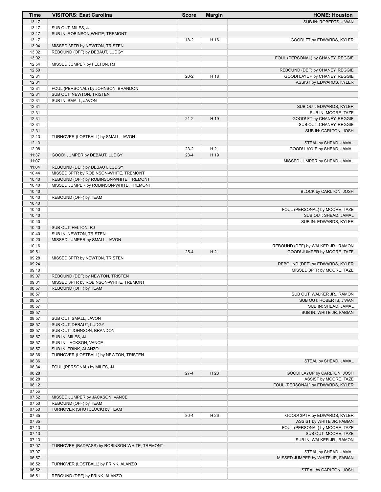| Time           | <b>VISITORS: East Carolina</b>                | <b>Score</b> | <b>Margin</b> | <b>HOME: Houston</b>                                      |
|----------------|-----------------------------------------------|--------------|---------------|-----------------------------------------------------------|
| 13:17          |                                               |              |               | SUB IN: ROBERTS, J'WAN                                    |
| 13:17          | SUB OUT: MILES, JJ                            |              |               |                                                           |
| 13:17          | SUB IN: ROBINSON-WHITE, TREMONT               |              |               |                                                           |
| 13:17          |                                               | $18-2$       | H 16          | GOOD! FT by EDWARDS, KYLER                                |
| 13:04          | MISSED 3PTR by NEWTON, TRISTEN                |              |               |                                                           |
| 13:02          | REBOUND (OFF) by DEBAUT, LUDGY                |              |               |                                                           |
| 13:02          |                                               |              |               | FOUL (PERSONAL) by CHANEY, REGGIE                         |
| 12:54          | MISSED JUMPER by FELTON, RJ                   |              |               |                                                           |
| 12:50          |                                               |              |               | REBOUND (DEF) by CHANEY, REGGIE                           |
| 12:31<br>12:31 |                                               | $20 - 2$     | H 18          | GOOD! LAYUP by CHANEY, REGGIE<br>ASSIST by EDWARDS, KYLER |
| 12:31          | FOUL (PERSONAL) by JOHNSON, BRANDON           |              |               |                                                           |
| 12:31          | SUB OUT: NEWTON, TRISTEN                      |              |               |                                                           |
| 12:31          | SUB IN: SMALL, JAVON                          |              |               |                                                           |
| 12:31          |                                               |              |               | SUB OUT: EDWARDS, KYLER                                   |
| 12:31          |                                               |              |               | SUB IN: MOORE, TAZE                                       |
| 12:31          |                                               | $21 - 2$     | H 19          | GOOD! FT by CHANEY, REGGIE                                |
| 12:31          |                                               |              |               | SUB OUT: CHANEY, REGGIE                                   |
| 12:31          |                                               |              |               | SUB IN: CARLTON, JOSH                                     |
| 12:13          | TURNOVER (LOSTBALL) by SMALL, JAVON           |              |               |                                                           |
| 12:13          |                                               |              |               | STEAL by SHEAD, JAMAL                                     |
| 12:08          |                                               | $23 - 2$     | H 21          | GOOD! LAYUP by SHEAD, JAMAL                               |
| 11:37          | GOOD! JUMPER by DEBAUT, LUDGY                 | $23 - 4$     | H 19          |                                                           |
| 11:07          |                                               |              |               | MISSED JUMPER by SHEAD, JAMAL                             |
| 11:04          | REBOUND (DEF) by DEBAUT, LUDGY                |              |               |                                                           |
| 10:44          | MISSED 3PTR by ROBINSON-WHITE, TREMONT        |              |               |                                                           |
| 10:40          | REBOUND (OFF) by ROBINSON-WHITE, TREMONT      |              |               |                                                           |
| 10:40          | MISSED JUMPER by ROBINSON-WHITE, TREMONT      |              |               |                                                           |
| 10:40          |                                               |              |               | BLOCK by CARLTON, JOSH                                    |
| 10:40          | REBOUND (OFF) by TEAM                         |              |               |                                                           |
| 10:40          |                                               |              |               |                                                           |
| 10:40          |                                               |              |               | FOUL (PERSONAL) by MOORE, TAZE                            |
| 10:40          |                                               |              |               | SUB OUT: SHEAD, JAMAL                                     |
| 10:40          |                                               |              |               | SUB IN: EDWARDS, KYLER                                    |
| 10:40          | SUB OUT: FELTON, RJ                           |              |               |                                                           |
| 10:40          | SUB IN: NEWTON, TRISTEN                       |              |               |                                                           |
| 10:20          | MISSED JUMPER by SMALL, JAVON                 |              |               |                                                           |
| 10:16          |                                               |              |               | REBOUND (DEF) by WALKER JR., RAMON                        |
| 09:51          |                                               | $25 - 4$     | H 21          | GOOD! JUMPER by MOORE, TAZE                               |
| 09:28          | MISSED 3PTR by NEWTON, TRISTEN                |              |               |                                                           |
| 09:24          |                                               |              |               | REBOUND (DEF) by EDWARDS, KYLER                           |
| 09:10          |                                               |              |               | MISSED 3PTR by MOORE, TAZE                                |
| 09:07          | REBOUND (DEF) by NEWTON, TRISTEN              |              |               |                                                           |
| 09:01          | MISSED 3PTR by ROBINSON-WHITE, TREMONT        |              |               |                                                           |
| 08:57<br>08:57 | REBOUND (OFF) by TEAM                         |              |               | SUB OUT: WALKER JR., RAMON                                |
| 08:57          |                                               |              |               | SUB OUT: ROBERTS, J'WAN                                   |
| 08:57          |                                               |              |               | SUB IN: SHEAD, JAMAL                                      |
| 08:57          |                                               |              |               | SUB IN: WHITE JR, FABIAN                                  |
| 08:57          | SUB OUT: SMALL, JAVON                         |              |               |                                                           |
| 08:57          | SUB OUT: DEBAUT, LUDGY                        |              |               |                                                           |
| 08:57          | SUB OUT: JOHNSON, BRANDON                     |              |               |                                                           |
| 08:57          | SUB IN: MILES, JJ                             |              |               |                                                           |
| 08:57          | SUB IN: JACKSON, VANCE                        |              |               |                                                           |
| 08:57          | SUB IN: FRINK, ALANZO                         |              |               |                                                           |
| 08:36          | TURNOVER (LOSTBALL) by NEWTON, TRISTEN        |              |               |                                                           |
| 08:36          |                                               |              |               | STEAL by SHEAD, JAMAL                                     |
| 08:34          | FOUL (PERSONAL) by MILES, JJ                  |              |               |                                                           |
| 08:28          |                                               | $27-4$       | H 23          | GOOD! LAYUP by CARLTON, JOSH                              |
| 08:28          |                                               |              |               | ASSIST by MOORE, TAZE                                     |
| 08:12          |                                               |              |               | FOUL (PERSONAL) by EDWARDS, KYLER                         |
| 07:56          |                                               |              |               |                                                           |
| 07:52          | MISSED JUMPER by JACKSON, VANCE               |              |               |                                                           |
| 07:50          | REBOUND (OFF) by TEAM                         |              |               |                                                           |
| 07:50          | TURNOVER (SHOTCLOCK) by TEAM                  |              |               |                                                           |
| 07:35          |                                               | $30 - 4$     | H 26          | GOOD! 3PTR by EDWARDS, KYLER                              |
| 07:35          |                                               |              |               | ASSIST by WHITE JR, FABIAN                                |
| 07:13          |                                               |              |               | FOUL (PERSONAL) by MOORE, TAZE                            |
| 07:13          |                                               |              |               | SUB OUT: MOORE, TAZE                                      |
| 07:13          |                                               |              |               | SUB IN: WALKER JR., RAMON                                 |
| 07:07          | TURNOVER (BADPASS) by ROBINSON-WHITE, TREMONT |              |               |                                                           |
| 07:07          |                                               |              |               | STEAL by SHEAD, JAMAL                                     |
| 06:57          |                                               |              |               | MISSED JUMPER by WHITE JR, FABIAN                         |
| 06:52          | TURNOVER (LOSTBALL) by FRINK, ALANZO          |              |               |                                                           |
| 06:52          |                                               |              |               | STEAL by CARLTON, JOSH                                    |
| 06:51          | REBOUND (DEF) by FRINK, ALANZO                |              |               |                                                           |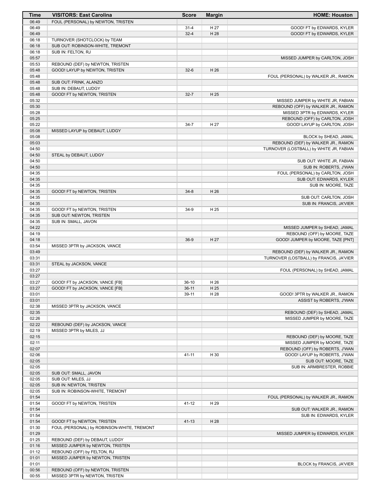| Time           | <b>VISITORS: East Carolina</b>                       | <b>Score</b> | <b>Margin</b> | <b>HOME: Houston</b>                    |
|----------------|------------------------------------------------------|--------------|---------------|-----------------------------------------|
| 06:49          | FOUL (PERSONAL) by NEWTON, TRISTEN                   |              |               |                                         |
| 06:49          |                                                      | $31 - 4$     | H 27          | GOOD! FT by EDWARDS, KYLER              |
| 06:49          |                                                      | $32 - 4$     | H 28          | GOOD! FT by EDWARDS, KYLER              |
| 06:18          | TURNOVER (SHOTCLOCK) by TEAM                         |              |               |                                         |
| 06:18          | SUB OUT: ROBINSON-WHITE, TREMONT                     |              |               |                                         |
| 06:18          | SUB IN: FELTON, RJ                                   |              |               |                                         |
| 05:57          |                                                      |              |               | MISSED JUMPER by CARLTON, JOSH          |
| 05:53          | REBOUND (DEF) by NEWTON, TRISTEN                     |              |               |                                         |
| 05:48          | GOOD! LAYUP by NEWTON, TRISTEN                       | $32-6$       | H 26          |                                         |
| 05:48          |                                                      |              |               | FOUL (PERSONAL) by WALKER JR., RAMON    |
| 05:48          | SUB OUT: FRINK, ALANZO                               |              |               |                                         |
| 05:48<br>05:48 | SUB IN: DEBAUT, LUDGY<br>GOOD! FT by NEWTON, TRISTEN | $32 - 7$     | H 25          |                                         |
| 05:32          |                                                      |              |               | MISSED JUMPER by WHITE JR, FABIAN       |
| 05:30          |                                                      |              |               | REBOUND (OFF) by WALKER JR., RAMON      |
| 05:28          |                                                      |              |               | MISSED 3PTR by EDWARDS, KYLER           |
| 05:25          |                                                      |              |               | REBOUND (OFF) by CARLTON, JOSH          |
| 05:22          |                                                      | $34 - 7$     | H 27          | GOOD! LAYUP by CARLTON, JOSH            |
| 05:08          | MISSED LAYUP by DEBAUT, LUDGY                        |              |               |                                         |
| 05:08          |                                                      |              |               | BLOCK by SHEAD, JAMAL                   |
| 05:03          |                                                      |              |               | REBOUND (DEF) by WALKER JR., RAMON      |
| 04:50          |                                                      |              |               | TURNOVER (LOSTBALL) by WHITE JR, FABIAN |
| 04:50          | STEAL by DEBAUT, LUDGY                               |              |               |                                         |
| 04:50          |                                                      |              |               | SUB OUT: WHITE JR, FABIAN               |
| 04:50          |                                                      |              |               | SUB IN: ROBERTS, J'WAN                  |
| 04:35          |                                                      |              |               | FOUL (PERSONAL) by CARLTON, JOSH        |
| 04:35          |                                                      |              |               | SUB OUT: EDWARDS, KYLER                 |
| 04:35          |                                                      |              |               | SUB IN: MOORE, TAZE                     |
| 04:35          | GOOD! FT by NEWTON, TRISTEN                          | $34 - 8$     | H 26          |                                         |
| 04:35          |                                                      |              |               | SUB OUT: CARLTON, JOSH                  |
| 04:35          |                                                      |              |               | SUB IN: FRANCIS, JA'VIER                |
| 04:35          | GOOD! FT by NEWTON, TRISTEN                          | $34-9$       | H 25          |                                         |
| 04:35          | SUB OUT: NEWTON, TRISTEN                             |              |               |                                         |
| 04:35          | SUB IN: SMALL, JAVON                                 |              |               |                                         |
| 04:22          |                                                      |              |               | MISSED JUMPER by SHEAD, JAMAL           |
| 04:19          |                                                      |              |               | REBOUND (OFF) by MOORE, TAZE            |
| 04:18<br>03:54 |                                                      | $36-9$       | H 27          | GOOD! JUMPER by MOORE, TAZE [PNT]       |
| 03:49          | MISSED 3PTR by JACKSON, VANCE                        |              |               | REBOUND (DEF) by WALKER JR., RAMON      |
| 03:31          |                                                      |              |               | TURNOVER (LOSTBALL) by FRANCIS, JA'VIER |
| 03:31          | STEAL by JACKSON, VANCE                              |              |               |                                         |
| 03:27          |                                                      |              |               | FOUL (PERSONAL) by SHEAD, JAMAL         |
| 03:27          |                                                      |              |               |                                         |
| 03:27          | GOOD! FT by JACKSON, VANCE [FB]                      | $36-10$      | H 26          |                                         |
| 03:27          | GOOD! FT by JACKSON, VANCE [FB]                      | $36-11$      | H 25          |                                         |
| 03:01          |                                                      | 39-11        | H 28          | GOOD! 3PTR by WALKER JR., RAMON         |
| 03:01          |                                                      |              |               | ASSIST by ROBERTS, J'WAN                |
| 02:38          | MISSED 3PTR by JACKSON, VANCE                        |              |               |                                         |
| 02:35          |                                                      |              |               | REBOUND (DEF) by SHEAD, JAMAL           |
| 02:26          |                                                      |              |               | MISSED JUMPER by MOORE, TAZE            |
| 02:22          | REBOUND (DEF) by JACKSON, VANCE                      |              |               |                                         |
| 02:19          | MISSED 3PTR by MILES, JJ                             |              |               |                                         |
| 02:15          |                                                      |              |               | REBOUND (DEF) by MOORE, TAZE            |
| 02:11          |                                                      |              |               | MISSED JUMPER by MOORE, TAZE            |
| 02:07          |                                                      |              |               | REBOUND (OFF) by ROBERTS, J'WAN         |
| 02:06          |                                                      | $41 - 11$    | H 30          | GOOD! LAYUP by ROBERTS, J'WAN           |
| 02:05          |                                                      |              |               | SUB OUT: MOORE, TAZE                    |
| 02:05          |                                                      |              |               | SUB IN: ARMBRESTER, ROBBIE              |
| 02:05          | SUB OUT: SMALL, JAVON                                |              |               |                                         |
| 02:05<br>02:05 | SUB OUT: MILES, JJ<br>SUB IN: NEWTON, TRISTEN        |              |               |                                         |
| 02:05          | SUB IN: ROBINSON-WHITE, TREMONT                      |              |               |                                         |
| 01:54          |                                                      |              |               | FOUL (PERSONAL) by WALKER JR., RAMON    |
| 01:54          | GOOD! FT by NEWTON, TRISTEN                          | 41-12        | H 29          |                                         |
| 01:54          |                                                      |              |               | SUB OUT: WALKER JR., RAMON              |
| 01:54          |                                                      |              |               | SUB IN: EDWARDS, KYLER                  |
| 01:54          | GOOD! FT by NEWTON, TRISTEN                          | $41 - 13$    | H 28          |                                         |
| 01:30          | FOUL (PERSONAL) by ROBINSON-WHITE, TREMONT           |              |               |                                         |
| 01:29          |                                                      |              |               | MISSED JUMPER by EDWARDS, KYLER         |
| 01:25          | REBOUND (DEF) by DEBAUT, LUDGY                       |              |               |                                         |
| 01:16          | MISSED JUMPER by NEWTON, TRISTEN                     |              |               |                                         |
| 01:12          | REBOUND (OFF) by FELTON, RJ                          |              |               |                                         |
| 01:01          | MISSED JUMPER by NEWTON, TRISTEN                     |              |               |                                         |
| 01:01          |                                                      |              |               | BLOCK by FRANCIS, JA'VIER               |
| 00:56          | REBOUND (OFF) by NEWTON, TRISTEN                     |              |               |                                         |
| 00:55          | MISSED 3PTR by NEWTON, TRISTEN                       |              |               |                                         |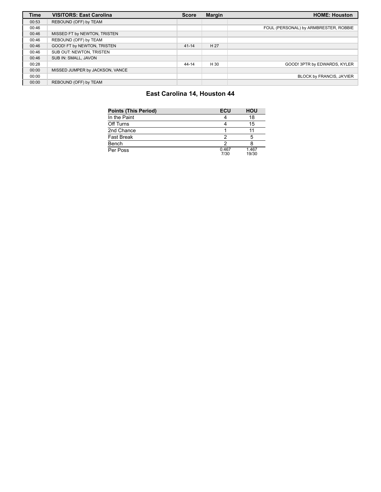| <b>Time</b> | <b>VISITORS: East Carolina</b>  | <b>Score</b> | <b>Margin</b> | <b>HOME: Houston</b>                  |
|-------------|---------------------------------|--------------|---------------|---------------------------------------|
| 00:53       | REBOUND (OFF) by TEAM           |              |               |                                       |
| 00:46       |                                 |              |               | FOUL (PERSONAL) by ARMBRESTER, ROBBIE |
| 00:46       | MISSED FT by NEWTON, TRISTEN    |              |               |                                       |
| 00:46       | REBOUND (OFF) by TEAM           |              |               |                                       |
| 00:46       | GOOD! FT by NEWTON, TRISTEN     | $41 - 14$    | H 27          |                                       |
| 00:46       | SUB OUT: NEWTON, TRISTEN        |              |               |                                       |
| 00:46       | SUB IN: SMALL, JAVON            |              |               |                                       |
| 00:28       |                                 | $44 - 14$    | H 30          | GOOD! 3PTR by EDWARDS, KYLER          |
| 00:00       | MISSED JUMPER by JACKSON, VANCE |              |               |                                       |
| 00:00       |                                 |              |               | BLOCK by FRANCIS, JA'VIER             |
| 00:00       | REBOUND (OFF) by TEAM           |              |               |                                       |

#### **East Carolina 14, Houston 44**

| <b>Points (This Period)</b> | ECU           | <b>HOU</b>     |
|-----------------------------|---------------|----------------|
| In the Paint                |               | 18             |
| Off Turns                   |               | 15             |
| 2nd Chance                  |               |                |
| <b>Fast Break</b>           |               | 5              |
| Bench                       |               |                |
| Per Poss                    | 0.467<br>7/30 | 1.467<br>19/30 |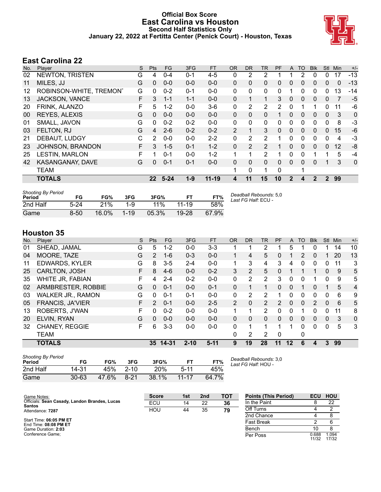#### **Official Box Score East Carolina vs Houston Second Half Statistics Only January 22, 2022 at Fertitta Center (Penick Court) - Houston, Texas**



## **East Carolina 22**

| No. | Player                  | S  | <b>Pts</b>   | FG       | 3FG     | <b>FT</b> | 0R           | DR.            | TR             | <b>PF</b> | A            | TO       | <b>BIK</b> | <b>Stl</b>   | Min | $+/-$ |
|-----|-------------------------|----|--------------|----------|---------|-----------|--------------|----------------|----------------|-----------|--------------|----------|------------|--------------|-----|-------|
| 02  | <b>NEWTON, TRISTEN</b>  | G  | 4            | $0 - 4$  | $0 - 1$ | $4 - 5$   | 0            | 2              | 2              |           |              | 2        | 0          | 0            | 17  | $-13$ |
| 11  | MILES, JJ               | G  | $\mathbf{0}$ | $0 - 0$  | $0 - 0$ | $0 - 0$   | $\Omega$     | $\mathbf{0}$   | 0              | 0         | 0            | 0        | 0          | $\mathbf{0}$ | 0   | -13   |
| 12  | ROBINSON-WHITE, TREMONT | G  | $\Omega$     | $0 - 2$  | $0 - 1$ | $0 - 0$   | $\mathbf{0}$ | 0              | $\mathbf{0}$   | 0         |              | 0        | 0          | $\Omega$     | 13  | -14   |
| 13  | <b>JACKSON, VANCE</b>   | F. | 3            | $1 - 1$  | $1 - 1$ | $0 - 0$   | $\mathbf{0}$ |                | 1              | 3         | $\mathbf{0}$ | 0        | 0          | $\mathbf{0}$ |     | $-5$  |
| 20  | FRINK, ALANZO           | F  | 5            | $1-2$    | $0 - 0$ | $3-6$     | 0            | 2              | $\overline{2}$ | 2         | $\Omega$     |          | 1          | $\Omega$     | 11  | -6    |
| 00  | <b>REYES, ALEXIS</b>    | G  | $\Omega$     | $0 - 0$  | $0 - 0$ | $0 - 0$   | $\mathbf{0}$ | $\Omega$       | $\mathbf{0}$   |           | $\Omega$     | 0        | 0          | $\mathbf{0}$ | 3   | 0     |
| 01  | SMALL, JAVON            | G  | $\Omega$     | $0 - 2$  | $0 - 2$ | $0 - 0$   | $\Omega$     | $\Omega$       | $\mathbf{0}$   | $\Omega$  | $\Omega$     | 0        | 0          | $\Omega$     | 8   | $-3$  |
| 03  | FELTON, RJ              | G  | 4            | $2 - 6$  | $0 - 2$ | $0 - 2$   | 2            |                | 3              | $\Omega$  | $\Omega$     | 0        | 0          | $\Omega$     | 15  | $-6$  |
| 21  | DEBAUT, LUDGY           | C  | 2            | $0 - 0$  | $0 - 0$ | $2 - 2$   | $\Omega$     | $\overline{2}$ | $\overline{2}$ |           | $\Omega$     | 0        | 0          | 0            | 4   | $-3$  |
| 23  | JOHNSON, BRANDON        | F  | 3            | $1 - 5$  | $0 - 1$ | $1 - 2$   | $\mathbf{0}$ | $\overline{2}$ | $\overline{2}$ |           | $\Omega$     | $\Omega$ | $\Omega$   | $\Omega$     | 12  | -8    |
| 25  | <b>LESTIN, MARLON</b>   | F  |              | $0 - 1$  | $0 - 0$ | $1 - 2$   |              |                | 2              |           | $\Omega$     | $\Omega$ |            |              | 5   | $-4$  |
| 42  | KASANGANAY, DAVE        | G  | 0            | $0 - 1$  | $0 - 1$ | $0 - 0$   | $\mathbf{0}$ | $\Omega$       | 0              | $\Omega$  | $\Omega$     | $\Omega$ | 0          |              | 3   | 0     |
|     | <b>TEAM</b>             |    |              |          |         |           |              | 0              | 1              | 0         |              |          |            |              |     |       |
|     | <b>TOTALS</b>           |    | 22           | $5 - 24$ | $1 - 9$ | $11 - 19$ | 4            | 11             | 15             | 10        | $\mathbf{2}$ | 4        | 2          | 2            | 99  |       |

| <b>Shooting By Period</b><br>Period | FG       | FG%      | 3FG      | 3FG%   |           | FT%   | Deadball Rebounds: 5,0<br>Last FG Half: ECU - |
|-------------------------------------|----------|----------|----------|--------|-----------|-------|-----------------------------------------------|
| 2nd Half                            | $5-24$   | 21%      | $1 - 9$  | $11\%$ | $11 - 19$ | 58%   |                                               |
| Game                                | $8 - 50$ | $16.0\%$ | $1 - 19$ | 05.3%  | 19-28     | 67.9% |                                               |

#### **Houston 35**

| SHEAD, JAMAL             | G |               |         |          |         | 0R       | <b>DR</b> | TR             | PF            | A        | TO | <b>Blk</b>     | Stl          | Min | $+/-$          |
|--------------------------|---|---------------|---------|----------|---------|----------|-----------|----------------|---------------|----------|----|----------------|--------------|-----|----------------|
|                          |   | 5             | $1 - 2$ | $0 - 0$  | $3 - 3$ |          |           | 2              |               | 5        |    | O              |              | 14  | 10             |
| <b>MOORE, TAZE</b>       | G | 2             | 1-6     | $0 - 3$  | $0 - 0$ | 1        | 4         | 5              | 0             |          | 2  | 0              |              | 20  | 13             |
| <b>EDWARDS, KYLER</b>    | G | 8             | $3 - 5$ | $2 - 4$  | $0 - 0$ | 1        | 3         | 4              | 3             | 4        | 0  | 0              | $\Omega$     | 11  | 3              |
| CARLTON, JOSH            | F | 8             | $4-6$   | $0 - 0$  | $0 - 2$ | 3        | 2         | 5              | $\Omega$      |          |    |                | $\mathbf{0}$ | 9   | 5              |
| WHITE JR, FABIAN         | F | 4             | $2 - 4$ | $0 - 2$  | $0-0$   | 0        | 2         | 2              | 3             | 0        | 0  |                | $\Omega$     | 9   | 5              |
| ARMBRESTER, ROBBIE       | G | $\Omega$      | $0 - 1$ | $0 - 0$  | $0 - 1$ | $\Omega$ |           | $\mathbf 1$    | 0             | $\Omega$ |    | 0              |              | 5   | $\overline{4}$ |
| <b>WALKER JR., RAMON</b> | G | 0             | $0 - 1$ | $0 - 1$  | $0-0$   | $\Omega$ | 2         | $\overline{2}$ |               | $\Omega$ | 0  | 0              | $\Omega$     | 6   | 9              |
| <b>FRANCIS, JA'VIER</b>  | F | $\mathcal{P}$ | $0 - 1$ | $0 - 0$  | $2 - 5$ | 2        | $\Omega$  | 2              | $\mathcal{P}$ | $\Omega$ | 0  | $\overline{2}$ | $\Omega$     | 6   | 5              |
| ROBERTS, J'WAN           | F | 0             | $0 - 2$ | $0 - 0$  | $0-0$   |          |           | $\overline{2}$ | 0             | 0        |    | 0              | 0            | 11  | 8              |
| ELVIN, RYAN              | G | $\Omega$      | $0 - 0$ | $0 - 0$  | $0 - 0$ | $\Omega$ | 0         | 0              | 0             | $\Omega$ | 0  | 0              | $\Omega$     | 3   | 0              |
| <b>CHANEY, REGGIE</b>    | F | 6             | $3 - 3$ | $0 - 0$  | $0 - 0$ | $\Omega$ |           | 1              |               |          | 0  | 0              | 0            | 5   | 3              |
| <b>TEAM</b>              |   |               |         |          |         | 0        | 2         | 2              | 0             |          | 0  |                |              |     |                |
| <b>TOTALS</b>            |   | 35            |         | $2 - 10$ | $5-11$  | 9        | 19        | 28             | 11            | $12 \,$  | 6  | 4              | 3            | 99  |                |
|                          |   |               |         | 14-31    |         |          |           |                |               |          |    |                |              |     |                |

| <b>Shooting By Period</b><br>Period | FG        | FG%   | 3FG      | 3FG%  |           | FT%   | Deadball Rebounds: 3,0<br>Last FG Half: HOU - |
|-------------------------------------|-----------|-------|----------|-------|-----------|-------|-----------------------------------------------|
| 2nd Half                            | 14-31     | 45%   | $2 - 10$ | 20%   | $5-11$    | 45%   |                                               |
| Game                                | $30 - 63$ | 47.6% | $8-21$   | 38.1% | $11 - 17$ | 64 7% |                                               |

| Game Notes:                                                    | <b>Score</b> | 1st | 2 <sub>nd</sub> | <b>TOT</b> | <b>Points (This Period)</b> | <b>ECU</b>     | <b>HOU</b>     |
|----------------------------------------------------------------|--------------|-----|-----------------|------------|-----------------------------|----------------|----------------|
| Officials: Sean Casady, Landon Brandes, Lucas<br><b>Santos</b> | ECU          | 14  | 22              | 36         | In the Paint                |                | 22             |
| Attendance: 7287                                               | HOU          | 44  | 35              | 79         | Off Turns                   |                |                |
|                                                                |              |     |                 |            | 2nd Chance                  |                |                |
| Start Time: 06:05 PM ET<br>End Time: 08:08 PM ET               |              |     |                 |            | <b>Fast Break</b>           |                |                |
| Game Duration: 2:03                                            |              |     |                 |            | Bench                       |                |                |
| Conference Game:                                               |              |     |                 |            | Per Poss                    | 0.688<br>11/32 | 1.094<br>17/32 |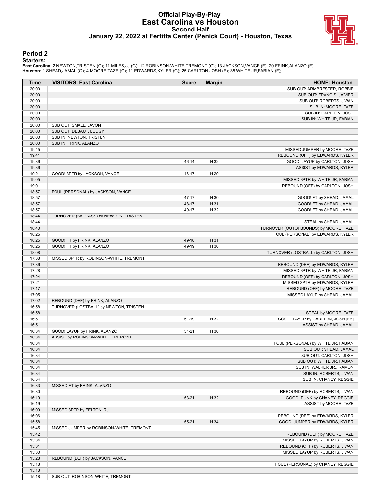#### **Official Play-By-Play East Carolina vs Houston Second Half January 22, 2022 at Fertitta Center (Penick Court) - Houston, Texas**



#### **Period 2**

#### **Starters:**

**East Carolina**: 2 NEWTON,TRISTEN (G); 11 MILES,JJ (G); 12 ROBINSON-WHITE,TREMONT (G); 13 JACKSON,VANCE (F); 20 FRINK,ALANZO (F);<br>**Houston**: 1 SHEAD,JAMAL (G); 4 MOORE,TAZE (G); 11 EDWARDS,KYLER (G); 25 CARLTON,JOSH (F); 3

| Time           | <b>VISITORS: East Carolina</b>           | <b>Score</b> | <b>Margin</b> | <b>HOME: Houston</b>                                            |
|----------------|------------------------------------------|--------------|---------------|-----------------------------------------------------------------|
| 20:00          |                                          |              |               | SUB OUT: ARMBRESTER, ROBBIE                                     |
| 20:00          |                                          |              |               | SUB OUT: FRANCIS, JA'VIER                                       |
| 20:00          |                                          |              |               | SUB OUT: ROBERTS, J'WAN                                         |
| 20:00          |                                          |              |               | SUB IN: MOORE, TAZE                                             |
| 20:00          |                                          |              |               | SUB IN: CARLTON, JOSH                                           |
| 20:00          |                                          |              |               | SUB IN: WHITE JR, FABIAN                                        |
| 20:00          | SUB OUT: SMALL, JAVON                    |              |               |                                                                 |
| 20:00          | SUB OUT: DEBAUT, LUDGY                   |              |               |                                                                 |
| 20:00          | SUB IN: NEWTON, TRISTEN                  |              |               |                                                                 |
| 20:00          | SUB IN: FRINK, ALANZO                    |              |               |                                                                 |
| 19:45          |                                          |              |               | MISSED JUMPER by MOORE, TAZE                                    |
| 19:41          |                                          |              |               | REBOUND (OFF) by EDWARDS, KYLER<br>GOOD! LAYUP by CARLTON, JOSH |
| 19:36<br>19:36 |                                          | 46-14        | H 32          |                                                                 |
| 19:21          | GOOD! 3PTR by JACKSON, VANCE             | 46-17        | H 29          | ASSIST by EDWARDS, KYLER                                        |
| 19:05          |                                          |              |               | MISSED 3PTR by WHITE JR, FABIAN                                 |
| 19:01          |                                          |              |               | REBOUND (OFF) by CARLTON, JOSH                                  |
| 18:57          | FOUL (PERSONAL) by JACKSON, VANCE        |              |               |                                                                 |
| 18:57          |                                          | 47-17        | H 30          | GOOD! FT by SHEAD, JAMAL                                        |
| 18:57          |                                          | 48-17        | H 31          | GOOD! FT by SHEAD, JAMAL                                        |
| 18:57          |                                          | 49-17        | H 32          | GOOD! FT by SHEAD, JAMAL                                        |
| 18:44          | TURNOVER (BADPASS) by NEWTON, TRISTEN    |              |               |                                                                 |
| 18:44          |                                          |              |               | STEAL by SHEAD, JAMAL                                           |
| 18:40          |                                          |              |               | TURNOVER (OUTOFBOUNDS) by MOORE, TAZE                           |
| 18:25          |                                          |              |               | FOUL (PERSONAL) by EDWARDS, KYLER                               |
| 18:25          | GOOD! FT by FRINK, ALANZO                | 49-18        | H 31          |                                                                 |
| 18:25          | GOOD! FT by FRINK, ALANZO                | 49-19        | H 30          |                                                                 |
| 18:08          |                                          |              |               | TURNOVER (LOSTBALL) by CARLTON, JOSH                            |
| 17:38          | MISSED 3PTR by ROBINSON-WHITE, TREMONT   |              |               |                                                                 |
| 17:36          |                                          |              |               | REBOUND (DEF) by EDWARDS, KYLER                                 |
| 17:28          |                                          |              |               | MISSED 3PTR by WHITE JR, FABIAN                                 |
| 17:24          |                                          |              |               | REBOUND (OFF) by CARLTON, JOSH                                  |
| 17:21          |                                          |              |               | MISSED 3PTR by EDWARDS, KYLER                                   |
| 17:17          |                                          |              |               | REBOUND (OFF) by MOORE, TAZE                                    |
| 17:05          |                                          |              |               | MISSED LAYUP by SHEAD, JAMAL                                    |
| 17:02          | REBOUND (DEF) by FRINK, ALANZO           |              |               |                                                                 |
| 16:58          | TURNOVER (LOSTBALL) by NEWTON, TRISTEN   |              |               |                                                                 |
| 16:58          |                                          |              |               | STEAL by MOORE, TAZE                                            |
| 16:51          |                                          | 51-19        | H 32          | GOOD! LAYUP by CARLTON, JOSH [FB]                               |
| 16:51          |                                          |              |               | ASSIST by SHEAD, JAMAL                                          |
| 16:34          | GOOD! LAYUP by FRINK, ALANZO             | $51 - 21$    | H 30          |                                                                 |
| 16:34<br>16:34 | ASSIST by ROBINSON-WHITE, TREMONT        |              |               |                                                                 |
| 16:34          |                                          |              |               | FOUL (PERSONAL) by WHITE JR, FABIAN<br>SUB OUT: SHEAD, JAMAL    |
| 16:34          |                                          |              |               | SUB OUT: CARLTON, JOSH                                          |
| 16:34          |                                          |              |               | SUB OUT: WHITE JR, FABIAN                                       |
| 16:34          |                                          |              |               | SUB IN: WALKER JR., RAMON                                       |
| 16:34          |                                          |              |               | SUB IN: ROBERTS, J'WAN                                          |
| 16:34          |                                          |              |               | SUB IN: CHANEY, REGGIE                                          |
| 16:33          | MISSED FT by FRINK, ALANZO               |              |               |                                                                 |
| 16:30          |                                          |              |               | REBOUND (DEF) by ROBERTS, J'WAN                                 |
| 16:19          |                                          | 53-21        | H 32          | GOOD! DUNK by CHANEY, REGGIE                                    |
| 16:19          |                                          |              |               | ASSIST by MOORE, TAZE                                           |
| 16:09          | MISSED 3PTR by FELTON, RJ                |              |               |                                                                 |
| 16:06          |                                          |              |               | REBOUND (DEF) by EDWARDS, KYLER                                 |
| 15:58          |                                          | $55 - 21$    | H 34          | GOOD! JUMPER by EDWARDS, KYLER                                  |
| 15:45          | MISSED JUMPER by ROBINSON-WHITE, TREMONT |              |               |                                                                 |
| 15:42          |                                          |              |               | REBOUND (DEF) by MOORE, TAZE                                    |
| 15:34          |                                          |              |               | MISSED LAYUP by ROBERTS, J'WAN                                  |
| 15:31          |                                          |              |               | REBOUND (OFF) by ROBERTS, J'WAN                                 |
| 15:30          |                                          |              |               | MISSED LAYUP by ROBERTS, J'WAN                                  |
| 15:28          | REBOUND (DEF) by JACKSON, VANCE          |              |               |                                                                 |
| 15:18          |                                          |              |               | FOUL (PERSONAL) by CHANEY, REGGIE                               |
| 15:18          |                                          |              |               |                                                                 |
| 15:18          | SUB OUT: ROBINSON-WHITE, TREMONT         |              |               |                                                                 |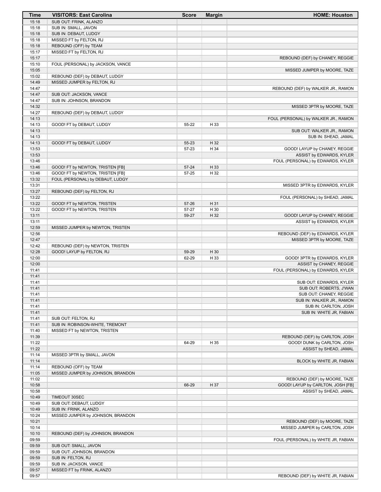| Time           | <b>VISITORS: East Carolina</b>                             | <b>Score</b>   | <b>Margin</b> | <b>HOME: Houston</b>                                      |
|----------------|------------------------------------------------------------|----------------|---------------|-----------------------------------------------------------|
| 15:18          | SUB OUT: FRINK, ALANZO                                     |                |               |                                                           |
| 15:18          | SUB IN: SMALL, JAVON                                       |                |               |                                                           |
| 15:18          | SUB IN: DEBAUT, LUDGY                                      |                |               |                                                           |
| 15:18<br>15:18 | MISSED FT by FELTON, RJ<br>REBOUND (OFF) by TEAM           |                |               |                                                           |
| 15:17          | MISSED FT by FELTON, RJ                                    |                |               |                                                           |
| 15:17          |                                                            |                |               | REBOUND (DEF) by CHANEY, REGGIE                           |
| 15:10          | FOUL (PERSONAL) by JACKSON, VANCE                          |                |               |                                                           |
| 15:05          |                                                            |                |               | MISSED JUMPER by MOORE, TAZE                              |
| 15:02          | REBOUND (DEF) by DEBAUT, LUDGY                             |                |               |                                                           |
| 14:49          | MISSED JUMPER by FELTON, RJ                                |                |               |                                                           |
| 14:47          |                                                            |                |               | REBOUND (DEF) by WALKER JR., RAMON                        |
| 14:47<br>14:47 | SUB OUT: JACKSON, VANCE<br>SUB IN: JOHNSON, BRANDON        |                |               |                                                           |
| 14:32          |                                                            |                |               | MISSED 3PTR by MOORE, TAZE                                |
| 14:27          | REBOUND (DEF) by DEBAUT, LUDGY                             |                |               |                                                           |
| 14:13          |                                                            |                |               | FOUL (PERSONAL) by WALKER JR., RAMON                      |
| 14:13          | GOOD! FT by DEBAUT, LUDGY                                  | 55-22          | H 33          |                                                           |
| 14:13          |                                                            |                |               | SUB OUT: WALKER JR., RAMON                                |
| 14:13          |                                                            |                |               | SUB IN: SHEAD, JAMAL                                      |
| 14:13          | GOOD! FT by DEBAUT, LUDGY                                  | 55-23          | H 32          |                                                           |
| 13:53<br>13:53 |                                                            | 57-23          | H 34          | GOOD! LAYUP by CHANEY, REGGIE<br>ASSIST by EDWARDS, KYLER |
| 13:46          |                                                            |                |               | FOUL (PERSONAL) by EDWARDS, KYLER                         |
| 13:46          | GOOD! FT by NEWTON, TRISTEN [FB]                           | $57 - 24$      | H 33          |                                                           |
| 13:46          | GOOD! FT by NEWTON, TRISTEN [FB]                           | 57-25          | H 32          |                                                           |
| 13:32          | FOUL (PERSONAL) by DEBAUT, LUDGY                           |                |               |                                                           |
| 13:31          |                                                            |                |               | MISSED 3PTR by EDWARDS, KYLER                             |
| 13:27          | REBOUND (DEF) by FELTON, RJ                                |                |               |                                                           |
| 13:22          |                                                            |                |               | FOUL (PERSONAL) by SHEAD, JAMAL                           |
| 13:22<br>13:22 | GOOD! FT by NEWTON, TRISTEN<br>GOOD! FT by NEWTON, TRISTEN | 57-26<br>57-27 | H 31<br>H 30  |                                                           |
| 13:11          |                                                            | 59-27          | H 32          | GOOD! LAYUP by CHANEY, REGGIE                             |
| 13:11          |                                                            |                |               | ASSIST by EDWARDS, KYLER                                  |
| 12:59          | MISSED JUMPER by NEWTON, TRISTEN                           |                |               |                                                           |
| 12:56          |                                                            |                |               | REBOUND (DEF) by EDWARDS, KYLER                           |
| 12:47          |                                                            |                |               | MISSED 3PTR by MOORE, TAZE                                |
| 12:42          | REBOUND (DEF) by NEWTON, TRISTEN                           |                |               |                                                           |
| 12:28<br>12:00 | GOOD! LAYUP by FELTON, RJ                                  | 59-29<br>62-29 | H 30<br>H 33  | GOOD! 3PTR by EDWARDS, KYLER                              |
| 12:00          |                                                            |                |               | ASSIST by CHANEY, REGGIE                                  |
| 11:41          |                                                            |                |               | FOUL (PERSONAL) by EDWARDS, KYLER                         |
| 11:41          |                                                            |                |               |                                                           |
| 11:41          |                                                            |                |               | SUB OUT: EDWARDS, KYLER                                   |
| 11:41          |                                                            |                |               | SUB OUT: ROBERTS, J'WAN                                   |
| 11:41          |                                                            |                |               | SUB OUT: CHANEY, REGGIE                                   |
| 11:41<br>11:41 |                                                            |                |               | SUB IN: WALKER JR., RAMON<br>SUB IN: CARLTON, JOSH        |
| 11:41          |                                                            |                |               | SUB IN: WHITE JR, FABIAN                                  |
| 11:41          | SUB OUT: FELTON, RJ                                        |                |               |                                                           |
| 11:41          | SUB IN: ROBINSON-WHITE, TREMONT                            |                |               |                                                           |
| 11:40          | MISSED FT by NEWTON, TRISTEN                               |                |               |                                                           |
| 11:39          |                                                            |                |               | REBOUND (DEF) by CARLTON, JOSH                            |
| 11:22          |                                                            | 64-29          | H 35          | GOOD! DUNK by CARLTON, JOSH                               |
| 11:22<br>11:14 | MISSED 3PTR by SMALL, JAVON                                |                |               | ASSIST by SHEAD, JAMAL                                    |
| 11:14          |                                                            |                |               | BLOCK by WHITE JR, FABIAN                                 |
| 11:14          | REBOUND (OFF) by TEAM                                      |                |               |                                                           |
| 11:05          | MISSED JUMPER by JOHNSON, BRANDON                          |                |               |                                                           |
| 11:02          |                                                            |                |               | REBOUND (DEF) by MOORE, TAZE                              |
| 10:58          |                                                            | 66-29          | H 37          | GOOD! LAYUP by CARLTON, JOSH [FB]                         |
| 10:58          |                                                            |                |               | ASSIST by SHEAD, JAMAL                                    |
| 10:49<br>10:49 | TIMEOUT 30SEC                                              |                |               |                                                           |
| 10:49          | SUB OUT: DEBAUT, LUDGY<br>SUB IN: FRINK, ALANZO            |                |               |                                                           |
| 10:24          | MISSED JUMPER by JOHNSON, BRANDON                          |                |               |                                                           |
| 10:21          |                                                            |                |               | REBOUND (DEF) by MOORE, TAZE                              |
| 10:14          |                                                            |                |               | MISSED JUMPER by CARLTON, JOSH                            |
| 10:10          | REBOUND (DEF) by JOHNSON, BRANDON                          |                |               |                                                           |
| 09:59          |                                                            |                |               | FOUL (PERSONAL) by WHITE JR, FABIAN                       |
| 09:59          | SUB OUT: SMALL, JAVON                                      |                |               |                                                           |
| 09:59<br>09:59 | SUB OUT: JOHNSON, BRANDON<br>SUB IN: FELTON, RJ            |                |               |                                                           |
| 09:59          | SUB IN: JACKSON, VANCE                                     |                |               |                                                           |
| 09:57          | MISSED FT by FRINK, ALANZO                                 |                |               |                                                           |
| 09:57          |                                                            |                |               | REBOUND (DEF) by WHITE JR, FABIAN                         |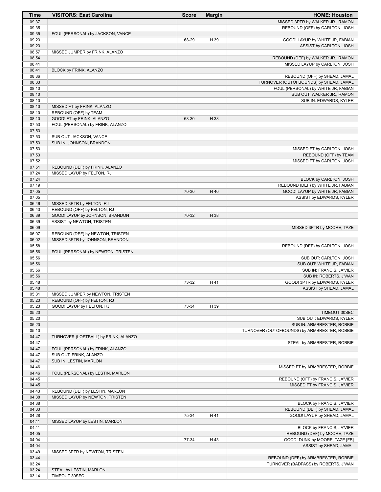| Time           | <b>VISITORS: East Carolina</b>       | <b>Score</b> | <b>Margin</b> | <b>HOME: Houston</b>                                                |
|----------------|--------------------------------------|--------------|---------------|---------------------------------------------------------------------|
| 09:37          |                                      |              |               | MISSED 3PTR by WALKER JR., RAMON                                    |
| 09:35          |                                      |              |               | REBOUND (OFF) by CARLTON, JOSH                                      |
| 09:35          | FOUL (PERSONAL) by JACKSON, VANCE    |              |               |                                                                     |
| 09:23          |                                      | 68-29        | H 39          | GOOD! LAYUP by WHITE JR, FABIAN                                     |
| 09:23          |                                      |              |               | ASSIST by CARLTON, JOSH                                             |
| 08:57<br>08:54 | MISSED JUMPER by FRINK, ALANZO       |              |               |                                                                     |
| 08:41          |                                      |              |               | REBOUND (DEF) by WALKER JR., RAMON<br>MISSED LAYUP by CARLTON, JOSH |
| 08:41          | BLOCK by FRINK, ALANZO               |              |               |                                                                     |
| 08:36          |                                      |              |               | REBOUND (OFF) by SHEAD, JAMAL                                       |
| 08:33          |                                      |              |               | TURNOVER (OUTOFBOUNDS) by SHEAD, JAMAL                              |
| 08:10          |                                      |              |               | FOUL (PERSONAL) by WHITE JR, FABIAN                                 |
| 08:10          |                                      |              |               | SUB OUT: WALKER JR., RAMON                                          |
| 08:10          |                                      |              |               | SUB IN: EDWARDS, KYLER                                              |
| 08:10          | MISSED FT by FRINK, ALANZO           |              |               |                                                                     |
| 08:10          | REBOUND (OFF) by TEAM                |              |               |                                                                     |
| 08:10          | GOOD! FT by FRINK, ALANZO            | 68-30        | H 38          |                                                                     |
| 07:53          | FOUL (PERSONAL) by FRINK, ALANZO     |              |               |                                                                     |
| 07:53          |                                      |              |               |                                                                     |
| 07:53          | SUB OUT: JACKSON, VANCE              |              |               |                                                                     |
| 07:53<br>07:53 | SUB IN: JOHNSON, BRANDON             |              |               | MISSED FT by CARLTON, JOSH                                          |
| 07:53          |                                      |              |               | REBOUND (OFF) by TEAM                                               |
| 07:52          |                                      |              |               | MISSED FT by CARLTON, JOSH                                          |
| 07:51          | REBOUND (DEF) by FRINK, ALANZO       |              |               |                                                                     |
| 07:24          | MISSED LAYUP by FELTON, RJ           |              |               |                                                                     |
| 07:24          |                                      |              |               | BLOCK by CARLTON, JOSH                                              |
| 07:19          |                                      |              |               | REBOUND (DEF) by WHITE JR, FABIAN                                   |
| 07:05          |                                      | 70-30        | H 40          | GOOD! LAYUP by WHITE JR, FABIAN                                     |
| 07:05          |                                      |              |               | ASSIST by EDWARDS, KYLER                                            |
| 06:46          | MISSED 3PTR by FELTON, RJ            |              |               |                                                                     |
| 06:43          | REBOUND (OFF) by FELTON, RJ          |              |               |                                                                     |
| 06:39          | GOOD! LAYUP by JOHNSON, BRANDON      | 70-32        | H 38          |                                                                     |
| 06:39          | ASSIST by NEWTON, TRISTEN            |              |               |                                                                     |
| 06:09          |                                      |              |               | MISSED 3PTR by MOORE, TAZE                                          |
| 06:07          | REBOUND (DEF) by NEWTON, TRISTEN     |              |               |                                                                     |
| 06:02          | MISSED 3PTR by JOHNSON, BRANDON      |              |               |                                                                     |
| 05:58<br>05:56 | FOUL (PERSONAL) by NEWTON, TRISTEN   |              |               | REBOUND (DEF) by CARLTON, JOSH                                      |
| 05:56          |                                      |              |               | SUB OUT: CARLTON, JOSH                                              |
| 05:56          |                                      |              |               | SUB OUT: WHITE JR, FABIAN                                           |
| 05:56          |                                      |              |               | SUB IN: FRANCIS, JA'VIER                                            |
| 05:56          |                                      |              |               | SUB IN: ROBERTS, J'WAN                                              |
| 05:48          |                                      | 73-32        | H 41          | GOOD! 3PTR by EDWARDS, KYLER                                        |
| 05:48          |                                      |              |               | ASSIST by SHEAD, JAMAL                                              |
| 05:31          | MISSED JUMPER by NEWTON, TRISTEN     |              |               |                                                                     |
| 05:23          | REBOUND (OFF) by FELTON, RJ          |              |               |                                                                     |
| 05:23          | GOOD! LAYUP by FELTON, RJ            | 73-34        | H 39          |                                                                     |
| 05:20          |                                      |              |               | TIMEOUT 30SEC                                                       |
| 05:20          |                                      |              |               | SUB OUT: EDWARDS, KYLER                                             |
| 05:20          |                                      |              |               | SUB IN: ARMBRESTER, ROBBIE                                          |
| 05:10          |                                      |              |               | TURNOVER (OUTOFBOUNDS) by ARMBRESTER, ROBBIE                        |
| 04:47          | TURNOVER (LOSTBALL) by FRINK, ALANZO |              |               |                                                                     |
| 04:47<br>04:47 | FOUL (PERSONAL) by FRINK, ALANZO     |              |               | STEAL by ARMBRESTER, ROBBIE                                         |
| 04:47          | SUB OUT: FRINK, ALANZO               |              |               |                                                                     |
| 04:47          | SUB IN: LESTIN, MARLON               |              |               |                                                                     |
| 04:46          |                                      |              |               | MISSED FT by ARMBRESTER, ROBBIE                                     |
| 04:46          | FOUL (PERSONAL) by LESTIN, MARLON    |              |               |                                                                     |
| 04:45          |                                      |              |               | REBOUND (OFF) by FRANCIS, JA'VIER                                   |
| 04:45          |                                      |              |               | MISSED FT by FRANCIS, JA'VIER                                       |
| 04:43          | REBOUND (DEF) by LESTIN, MARLON      |              |               |                                                                     |
| 04:38          | MISSED LAYUP by NEWTON, TRISTEN      |              |               |                                                                     |
| 04:38          |                                      |              |               | BLOCK by FRANCIS, JA'VIER                                           |
| 04:33          |                                      |              |               | REBOUND (DEF) by SHEAD, JAMAL                                       |
| 04:28          |                                      | 75-34        | H 41          | GOOD! LAYUP by SHEAD, JAMAL                                         |
| 04:11          | MISSED LAYUP by LESTIN, MARLON       |              |               |                                                                     |
| 04:11          |                                      |              |               | BLOCK by FRANCIS, JA'VIER                                           |
| 04:05          |                                      |              |               | REBOUND (DEF) by MOORE, TAZE                                        |
| 04:04          |                                      | 77-34        | H 43          | GOOD! DUNK by MOORE, TAZE [FB]                                      |
| 04:04          |                                      |              |               | ASSIST by SHEAD, JAMAL                                              |
| 03:49          | MISSED 3PTR by NEWTON, TRISTEN       |              |               |                                                                     |
| 03:44          |                                      |              |               | REBOUND (DEF) by ARMBRESTER, ROBBIE                                 |
| 03:24<br>03:24 | STEAL by LESTIN, MARLON              |              |               | TURNOVER (BADPASS) by ROBERTS, J'WAN                                |
| 03:14          | TIMEOUT 30SEC                        |              |               |                                                                     |
|                |                                      |              |               |                                                                     |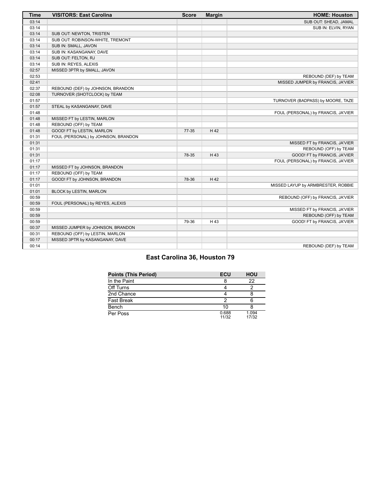| <b>Time</b> | <b>VISITORS: East Carolina</b>      | <b>Score</b> | <b>Margin</b> | <b>HOME: Houston</b>                |
|-------------|-------------------------------------|--------------|---------------|-------------------------------------|
| 03:14       |                                     |              |               | SUB OUT: SHEAD, JAMAL               |
| 03:14       |                                     |              |               | SUB IN: ELVIN, RYAN                 |
| 03:14       | SUB OUT: NEWTON, TRISTEN            |              |               |                                     |
| 03:14       | SUB OUT: ROBINSON-WHITE, TREMONT    |              |               |                                     |
| 03:14       | SUB IN: SMALL, JAVON                |              |               |                                     |
| 03:14       | SUB IN: KASANGANAY, DAVE            |              |               |                                     |
| 03:14       | SUB OUT: FELTON, RJ                 |              |               |                                     |
| 03:14       | SUB IN: REYES, ALEXIS               |              |               |                                     |
| 02:57       | MISSED 3PTR by SMALL, JAVON         |              |               |                                     |
| 02:53       |                                     |              |               | REBOUND (DEF) by TEAM               |
| 02:41       |                                     |              |               | MISSED JUMPER by FRANCIS, JA'VIER   |
| 02:37       | REBOUND (DEF) by JOHNSON, BRANDON   |              |               |                                     |
| 02:08       | TURNOVER (SHOTCLOCK) by TEAM        |              |               |                                     |
| 01:57       |                                     |              |               | TURNOVER (BADPASS) by MOORE, TAZE   |
| 01:57       | STEAL by KASANGANAY, DAVE           |              |               |                                     |
| 01:48       |                                     |              |               | FOUL (PERSONAL) by FRANCIS, JA'VIER |
| 01:48       | MISSED FT by LESTIN, MARLON         |              |               |                                     |
| 01:48       | REBOUND (OFF) by TEAM               |              |               |                                     |
| 01:48       | GOOD! FT by LESTIN, MARLON          | $77 - 35$    | H 42          |                                     |
| 01:31       | FOUL (PERSONAL) by JOHNSON, BRANDON |              |               |                                     |
| 01:31       |                                     |              |               | MISSED FT by FRANCIS, JA'VIER       |
| 01:31       |                                     |              |               | REBOUND (OFF) by TEAM               |
| 01:31       |                                     | 78-35        | H 43          | GOOD! FT by FRANCIS, JA'VIER        |
| 01:17       |                                     |              |               | FOUL (PERSONAL) by FRANCIS, JA'VIER |
| 01:17       | MISSED FT by JOHNSON, BRANDON       |              |               |                                     |
| 01:17       | REBOUND (OFF) by TEAM               |              |               |                                     |
| 01:17       | GOOD! FT by JOHNSON, BRANDON        | 78-36        | H 42          |                                     |
| 01:01       |                                     |              |               | MISSED LAYUP by ARMBRESTER, ROBBIE  |
| 01:01       | BLOCK by LESTIN, MARLON             |              |               |                                     |
| 00:59       |                                     |              |               | REBOUND (OFF) by FRANCIS, JA'VIER   |
| 00:59       | FOUL (PERSONAL) by REYES, ALEXIS    |              |               |                                     |
| 00:59       |                                     |              |               | MISSED FT by FRANCIS, JA'VIER       |
| 00:59       |                                     |              |               | REBOUND (OFF) by TEAM               |
| 00:59       |                                     | 79-36        | H 43          | GOOD! FT by FRANCIS, JA'VIER        |
| 00:37       | MISSED JUMPER by JOHNSON, BRANDON   |              |               |                                     |
| 00:31       | REBOUND (OFF) by LESTIN, MARLON     |              |               |                                     |
| 00:17       | MISSED 3PTR by KASANGANAY, DAVE     |              |               |                                     |
| 00:14       |                                     |              |               | REBOUND (DEF) by TEAM               |

#### **East Carolina 36, Houston 79**

| <b>Points (This Period)</b> | ECU            | <b>HOU</b>     |
|-----------------------------|----------------|----------------|
| In the Paint                |                | 22             |
| Off Turns                   |                |                |
| 2nd Chance                  |                |                |
| <b>Fast Break</b>           |                |                |
| Bench                       | 10             |                |
| Per Poss                    | 0.688<br>11/32 | 1.094<br>17/32 |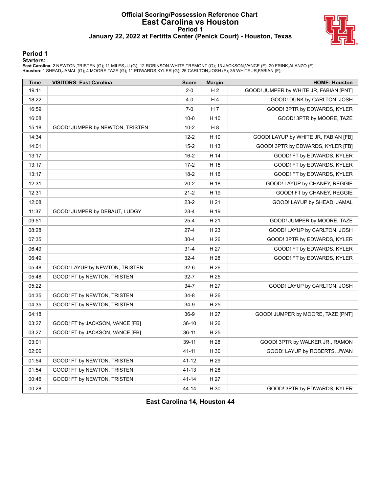#### **Official Scoring/Possession Reference Chart East Carolina vs Houston Period 1 January 22, 2022 at Fertitta Center (Penick Court) - Houston, Texas**



#### **Period 1**

#### **Starters:**

**East Carolina**: 2 NEWTON,TRISTEN (G); 11 MILES,JJ (G); 12 ROBINSON-WHITE,TREMONT (G); 13 JACKSON,VANCE (F); 20 FRINK,ALANZO (F);<br>**Houston**: 1 SHEAD,JAMAL (G); 4 MOORE,TAZE (G); 11 EDWARDS,KYLER (G); 25 CARLTON,JOSH (F); 3

| <b>Time</b> | <b>VISITORS: East Carolina</b>  | <b>Score</b> | <b>Margin</b>  | <b>HOME: Houston</b>                   |
|-------------|---------------------------------|--------------|----------------|----------------------------------------|
| 19:11       |                                 | $2 - 0$      | H <sub>2</sub> | GOOD! JUMPER by WHITE JR, FABIAN [PNT] |
| 18:22       |                                 | $4 - 0$      | H4             | GOOD! DUNK by CARLTON, JOSH            |
| 16:59       |                                 | $7 - 0$      | H 7            | GOOD! 3PTR by EDWARDS, KYLER           |
| 16:08       |                                 | $10 - 0$     | H 10           | GOOD! 3PTR by MOORE, TAZE              |
| 15:18       | GOOD! JUMPER by NEWTON, TRISTEN | $10 - 2$     | H <sub>8</sub> |                                        |
| 14:34       |                                 | $12 - 2$     | H 10           | GOOD! LAYUP by WHITE JR, FABIAN [FB]   |
| 14:01       |                                 | $15 - 2$     | H 13           | GOOD! 3PTR by EDWARDS, KYLER [FB]      |
| 13:17       |                                 | $16 - 2$     | H 14           | GOOD! FT by EDWARDS, KYLER             |
| 13:17       |                                 | $17-2$       | H 15           | GOOD! FT by EDWARDS, KYLER             |
| 13:17       |                                 | $18-2$       | H 16           | GOOD! FT by EDWARDS, KYLER             |
| 12:31       |                                 | $20 - 2$     | H 18           | GOOD! LAYUP by CHANEY, REGGIE          |
| 12:31       |                                 | $21 - 2$     | H 19           | GOOD! FT by CHANEY, REGGIE             |
| 12:08       |                                 | $23-2$       | H 21           | GOOD! LAYUP by SHEAD, JAMAL            |
| 11:37       | GOOD! JUMPER by DEBAUT, LUDGY   | $23-4$       | H 19           |                                        |
| 09:51       |                                 | $25 - 4$     | H 21           | GOOD! JUMPER by MOORE, TAZE            |
| 08:28       |                                 | $27-4$       | H 23           | GOOD! LAYUP by CARLTON, JOSH           |
| 07:35       |                                 | $30 - 4$     | H 26           | GOOD! 3PTR by EDWARDS, KYLER           |
| 06:49       |                                 | $31 - 4$     | H 27           | GOOD! FT by EDWARDS, KYLER             |
| 06:49       |                                 | $32 - 4$     | H 28           | GOOD! FT by EDWARDS, KYLER             |
| 05:48       | GOOD! LAYUP by NEWTON, TRISTEN  | $32-6$       | H 26           |                                        |
| 05:48       | GOOD! FT by NEWTON, TRISTEN     | $32 - 7$     | H 25           |                                        |
| 05:22       |                                 | $34 - 7$     | H 27           | GOOD! LAYUP by CARLTON, JOSH           |
| 04:35       | GOOD! FT by NEWTON, TRISTEN     | $34 - 8$     | H 26           |                                        |
| 04:35       | GOOD! FT by NEWTON, TRISTEN     | $34-9$       | H 25           |                                        |
| 04:18       |                                 | $36-9$       | H 27           | GOOD! JUMPER by MOORE, TAZE [PNT]      |
| 03:27       | GOOD! FT by JACKSON, VANCE [FB] | $36-10$      | H 26           |                                        |
| 03:27       | GOOD! FT by JACKSON, VANCE [FB] | $36-11$      | H 25           |                                        |
| 03:01       |                                 | $39-11$      | H 28           | GOOD! 3PTR by WALKER JR., RAMON        |
| 02:06       |                                 | 41-11        | H 30           | GOOD! LAYUP by ROBERTS, J'WAN          |
| 01:54       | GOOD! FT by NEWTON, TRISTEN     | 41-12        | H 29           |                                        |
| 01:54       | GOOD! FT by NEWTON, TRISTEN     | $41 - 13$    | H 28           |                                        |
| 00:46       | GOOD! FT by NEWTON, TRISTEN     | $41 - 14$    | H 27           |                                        |
| 00:28       |                                 | 44-14        | H 30           | GOOD! 3PTR by EDWARDS, KYLER           |

**East Carolina 14, Houston 44**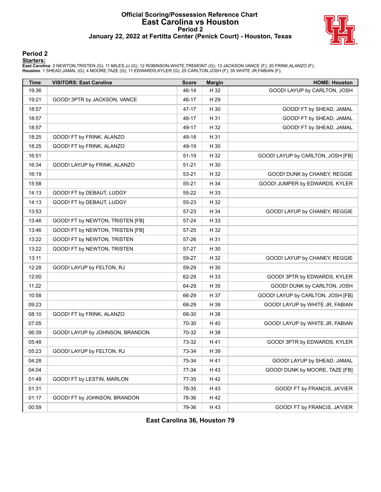#### **Official Scoring/Possession Reference Chart East Carolina vs Houston Period 2 January 22, 2022 at Fertitta Center (Penick Court) - Houston, Texas**



#### **Period 2**

#### **Starters:**

**East Carolina**: 2 NEWTON,TRISTEN (G); 11 MILES,JJ (G); 12 ROBINSON-WHITE,TREMONT (G); 13 JACKSON,VANCE (F); 20 FRINK,ALANZO (F);<br>**Houston**: 1 SHEAD,JAMAL (G); 4 MOORE,TAZE (G); 11 EDWARDS,KYLER (G); 25 CARLTON,JOSH (F); 3

| <b>Time</b> | <b>VISITORS: East Carolina</b>   | <b>Score</b> | <b>Margin</b> | <b>HOME: Houston</b>              |
|-------------|----------------------------------|--------------|---------------|-----------------------------------|
| 19:36       |                                  | 46-14        | H 32          | GOOD! LAYUP by CARLTON, JOSH      |
| 19:21       | GOOD! 3PTR by JACKSON, VANCE     | 46-17        | H 29          |                                   |
| 18:57       |                                  | 47-17        | H 30          | GOOD! FT by SHEAD, JAMAL          |
| 18:57       |                                  | 48-17        | H 31          | GOOD! FT by SHEAD, JAMAL          |
| 18:57       |                                  | 49-17        | H 32          | GOOD! FT by SHEAD, JAMAL          |
| 18:25       | GOOD! FT by FRINK, ALANZO        | 49-18        | H 31          |                                   |
| 18:25       | GOOD! FT by FRINK, ALANZO        | 49-19        | H 30          |                                   |
| 16:51       |                                  | $51-19$      | H 32          | GOOD! LAYUP by CARLTON, JOSH [FB] |
| 16:34       | GOOD! LAYUP by FRINK, ALANZO     | $51 - 21$    | H 30          |                                   |
| 16:19       |                                  | 53-21        | H 32          | GOOD! DUNK by CHANEY, REGGIE      |
| 15:58       |                                  | 55-21        | H 34          | GOOD! JUMPER by EDWARDS, KYLER    |
| 14:13       | GOOD! FT by DEBAUT, LUDGY        | 55-22        | H 33          |                                   |
| 14:13       | GOOD! FT by DEBAUT, LUDGY        | 55-23        | H 32          |                                   |
| 13:53       |                                  | 57-23        | H 34          | GOOD! LAYUP by CHANEY, REGGIE     |
| 13:46       | GOOD! FT by NEWTON, TRISTEN [FB] | 57-24        | H 33          |                                   |
| 13:46       | GOOD! FT by NEWTON, TRISTEN [FB] | 57-25        | H 32          |                                   |
| 13:22       | GOOD! FT by NEWTON, TRISTEN      | 57-26        | H 31          |                                   |
| 13:22       | GOOD! FT by NEWTON, TRISTEN      | 57-27        | H 30          |                                   |
| 13:11       |                                  | 59-27        | H 32          | GOOD! LAYUP by CHANEY, REGGIE     |
| 12:28       | GOOD! LAYUP by FELTON, RJ        | 59-29        | H 30          |                                   |
| 12:00       |                                  | 62-29        | H 33          | GOOD! 3PTR by EDWARDS, KYLER      |
| 11:22       |                                  | 64-29        | H 35          | GOOD! DUNK by CARLTON, JOSH       |
| 10:58       |                                  | 66-29        | H 37          | GOOD! LAYUP by CARLTON, JOSH [FB] |
| 09:23       |                                  | 68-29        | H 39          | GOOD! LAYUP by WHITE JR, FABIAN   |
| 08:10       | GOOD! FT by FRINK, ALANZO        | 68-30        | H 38          |                                   |
| 07:05       |                                  | 70-30        | H 40          | GOOD! LAYUP by WHITE JR, FABIAN   |
| 06:39       | GOOD! LAYUP by JOHNSON, BRANDON  | 70-32        | H 38          |                                   |
| 05:48       |                                  | 73-32        | H 41          | GOOD! 3PTR by EDWARDS, KYLER      |
| 05:23       | GOOD! LAYUP by FELTON, RJ        | 73-34        | H 39          |                                   |
| 04:28       |                                  | 75-34        | H 41          | GOOD! LAYUP by SHEAD, JAMAL       |
| 04:04       |                                  | 77-34        | H 43          | GOOD! DUNK by MOORE, TAZE [FB]    |
| 01:48       | GOOD! FT by LESTIN, MARLON       | 77-35        | H 42          |                                   |
| 01:31       |                                  | 78-35        | H 43          | GOOD! FT by FRANCIS, JA'VIER      |
| 01:17       | GOOD! FT by JOHNSON, BRANDON     | 78-36        | H 42          |                                   |
| 00:59       |                                  | 79-36        | H 43          | GOOD! FT by FRANCIS, JA'VIER      |

**East Carolina 36, Houston 79**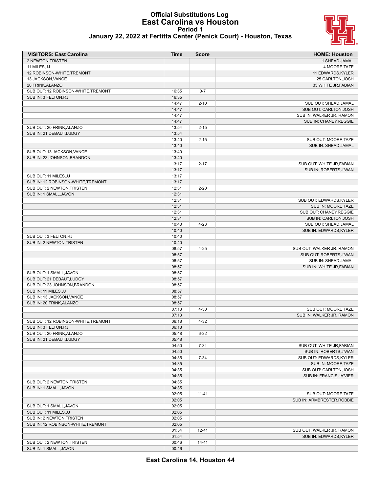#### **Official Substitutions Log East Carolina vs Houston Period 1 January 22, 2022 at Fertitta Center (Penick Court) - Houston, Texas**



| <b>VISITORS: East Carolina</b>      | <b>Time</b> | <b>Score</b> | <b>HOME: Houston</b>       |
|-------------------------------------|-------------|--------------|----------------------------|
| 2 NEWTON, TRISTEN                   |             |              | 1 SHEAD, JAMAL             |
| 11 MILES, JJ                        |             |              | 4 MOORE, TAZE              |
| 12 ROBINSON-WHITE, TREMONT          |             |              | 11 EDWARDS, KYLER          |
| 13 JACKSON, VANCE                   |             |              | 25 CARLTON, JOSH           |
| 20 FRINK, ALANZO                    |             |              | 35 WHITE JR, FABIAN        |
| SUB OUT: 12 ROBINSON-WHITE, TREMONT | 16:35       | $0 - 7$      |                            |
| SUB IN: 3 FELTON, RJ                | 16:35       |              |                            |
|                                     | 14:47       | $2 - 10$     | SUB OUT: SHEAD, JAMAL      |
|                                     | 14:47       |              | SUB OUT: CARLTON, JOSH     |
|                                     | 14:47       |              | SUB IN: WALKER JR., RAMON  |
|                                     | 14:47       |              | SUB IN: CHANEY, REGGIE     |
| SUB OUT: 20 FRINK, ALANZO           | 13:54       | $2 - 15$     |                            |
| SUB IN: 21 DEBAUT.LUDGY             | 13:54       |              |                            |
|                                     | 13:40       | $2 - 15$     | SUB OUT: MOORE, TAZE       |
|                                     | 13:40       |              | SUB IN: SHEAD, JAMAL       |
| SUB OUT: 13 JACKSON, VANCE          | 13:40       |              |                            |
| SUB IN: 23 JOHNSON, BRANDON         | 13:40       |              |                            |
|                                     | 13:17       | $2 - 17$     | SUB OUT: WHITE JR, FABIAN  |
|                                     | 13:17       |              | SUB IN: ROBERTS, J'WAN     |
| SUB OUT: 11 MILES, JJ               | 13:17       |              |                            |
| SUB IN: 12 ROBINSON-WHITE, TREMONT  | 13:17       |              |                            |
| SUB OUT: 2 NEWTON, TRISTEN          | 12:31       | $2 - 20$     |                            |
| SUB IN: 1 SMALL, JAVON              | 12:31       |              |                            |
|                                     | 12:31       |              | SUB OUT: EDWARDS, KYLER    |
|                                     | 12:31       |              | SUB IN: MOORE, TAZE        |
|                                     | 12:31       |              | SUB OUT: CHANEY, REGGIE    |
|                                     | 12:31       |              | SUB IN: CARLTON, JOSH      |
|                                     | 10:40       | $4 - 23$     | SUB OUT: SHEAD, JAMAL      |
|                                     | 10:40       |              | SUB IN: EDWARDS, KYLER     |
| SUB OUT: 3 FELTON, RJ               | 10:40       |              |                            |
| SUB IN: 2 NEWTON, TRISTEN           | 10:40       |              |                            |
|                                     | 08:57       | $4 - 25$     | SUB OUT: WALKER JR., RAMON |
|                                     | 08:57       |              | SUB OUT: ROBERTS, J'WAN    |
|                                     | 08:57       |              | SUB IN: SHEAD, JAMAL       |
|                                     | 08:57       |              | SUB IN: WHITE JR, FABIAN   |
| SUB OUT: 1 SMALL, JAVON             | 08:57       |              |                            |
| SUB OUT: 21 DEBAUT, LUDGY           | 08:57       |              |                            |
| SUB OUT: 23 JOHNSON, BRANDON        | 08:57       |              |                            |
| SUB IN: 11 MILES, JJ                | 08:57       |              |                            |
| SUB IN: 13 JACKSON, VANCE           | 08:57       |              |                            |
| SUB IN: 20 FRINK, ALANZO            | 08:57       |              |                            |
|                                     | 07:13       | $4 - 30$     | SUB OUT: MOORE, TAZE       |
|                                     | 07:13       |              | SUB IN: WALKER JR., RAMON  |
| SUB OUT: 12 ROBINSON-WHITE, TREMONT | 06:18       | $4 - 32$     |                            |
| SUB IN: 3 FELTON, RJ                | 06:18       |              |                            |
| SUB OUT: 20 FRINK, ALANZO           | 05:48       | $6 - 32$     |                            |
| SUB IN: 21 DEBAUT, LUDGY            | 05:48       |              |                            |
|                                     | 04:50       | $7 - 34$     | SUB OUT: WHITE JR, FABIAN  |
|                                     | 04:50       |              | SUB IN: ROBERTS, J'WAN     |
|                                     | 04:35       | $7 - 34$     | SUB OUT: EDWARDS, KYLER    |
|                                     | 04:35       |              | SUB IN: MOORE, TAZE        |
|                                     | 04:35       |              | SUB OUT: CARLTON, JOSH     |
|                                     | 04:35       |              | SUB IN: FRANCIS, JA'VIER   |
| SUB OUT: 2 NEWTON, TRISTEN          | 04:35       |              |                            |
| SUB IN: 1 SMALL, JAVON              | 04:35       |              |                            |
|                                     | 02:05       | $11 - 41$    | SUB OUT: MOORE, TAZE       |
|                                     | 02:05       |              | SUB IN: ARMBRESTER, ROBBIE |
| SUB OUT: 1 SMALL, JAVON             | 02:05       |              |                            |
| SUB OUT: 11 MILES, JJ               | 02:05       |              |                            |
| SUB IN: 2 NEWTON, TRISTEN           | 02:05       |              |                            |
| SUB IN: 12 ROBINSON-WHITE, TREMONT  | 02:05       |              |                            |
|                                     | 01:54       | $12 - 41$    | SUB OUT: WALKER JR., RAMON |
|                                     | 01:54       |              | SUB IN: EDWARDS, KYLER     |
| SUB OUT: 2 NEWTON, TRISTEN          | 00:46       | $14 - 41$    |                            |
| SUB IN: 1 SMALL, JAVON              | 00:46       |              |                            |